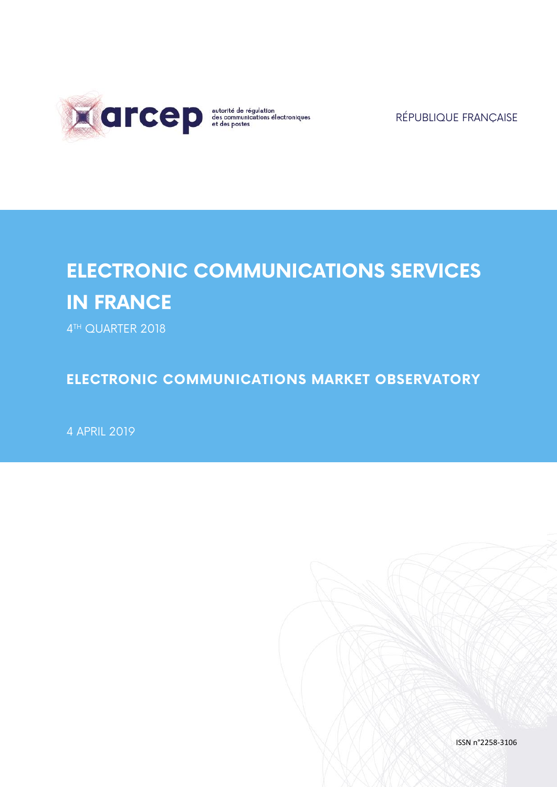

RÉPUBLIQUE FRANÇAISE

# **ELECTRONIC COMMUNICATIONS SERVICES IN FRANCE**

4 TH QUARTER 2018

**ELECTRONIC COMMUNICATIONS MARKET OBSERVATORY**

4 APRIL 2019

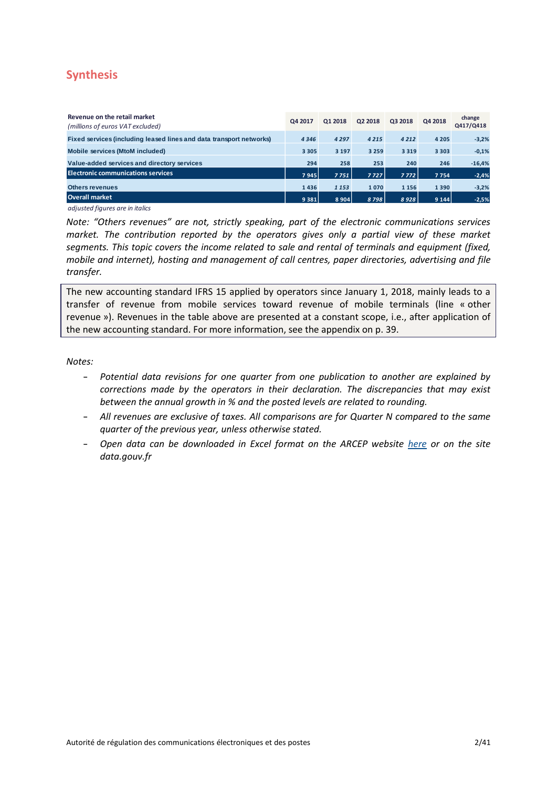# <span id="page-1-0"></span>**Synthesis**

| Revenue on the retail market<br>(millions of euros VAT excluded)    | Q4 2017 | Q1 2018 | Q2 2018 | Q3 2018 | Q4 2018 | change<br>Q417/Q418 |
|---------------------------------------------------------------------|---------|---------|---------|---------|---------|---------------------|
| Fixed services (including leased lines and data transport networks) | 4346    | 4 2 9 7 | 4 2 1 5 | 4 2 1 2 | 4 2 0 5 | $-3,2%$             |
| Mobile services (MtoM included)                                     | 3 3 0 5 | 3 1 9 7 | 3 2 5 9 | 3 3 1 9 | 3 3 0 3 | $-0,1%$             |
| Value-added services and directory services                         | 294     | 258     | 253     | 240     | 246     | $-16,4%$            |
| <b>Electronic communications services</b>                           | 7945    | 7751    | 7727    | 7772    | 7754    | $-2,4%$             |
| <b>Others revenues</b>                                              | 1436    | 1 1 5 3 | 1070    | 1 1 5 6 | 1390    | $-3,2%$             |
| <b>Overall market</b>                                               | 9 3 8 1 | 8904    | 8798    | 8928    | 9 1 4 4 | $-2,5%$             |

*adjusted figures are in italics*

*Note: "Others revenues" are not, strictly speaking, part of the electronic communications services market. The contribution reported by the operators gives only a partial view of these market segments. This topic covers the income related to sale and rental of terminals and equipment (fixed, mobile and internet), hosting and management of call centres, paper directories, advertising and file transfer.*

The new accounting standard IFRS 15 applied by operators since January 1, 2018, mainly leads to a transfer of revenue from mobile services toward revenue of mobile terminals (line « other revenue »). Revenues in the table above are presented at a constant scope, i.e., after application of the new accounting standard. For more information, see the appendix on p. 39.

*Notes:* 

- *Potential data revisions for one quarter from one publication to another are explained by corrections made by the operators in their declaration. The discrepancies that may exist between the annual growth in % and the posted levels are related to rounding.*
- *All revenues are exclusive of taxes. All comparisons are for Quarter N compared to the same quarter of the previous year, unless otherwise stated.*
- *Open data can be downloaded in Excel format on the ARCEP website [here](http://archives.arcep.fr/fileadmin/reprise/observatoire/serie-chrono/series-chrono-trimestre.xlsx) or on the site data.gouv.fr*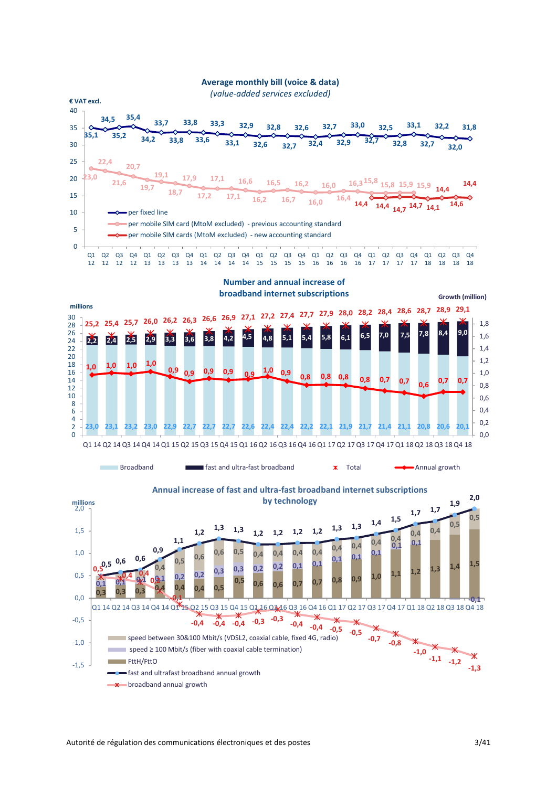

 $\rightarrow$   $\ast$  broadband annual growth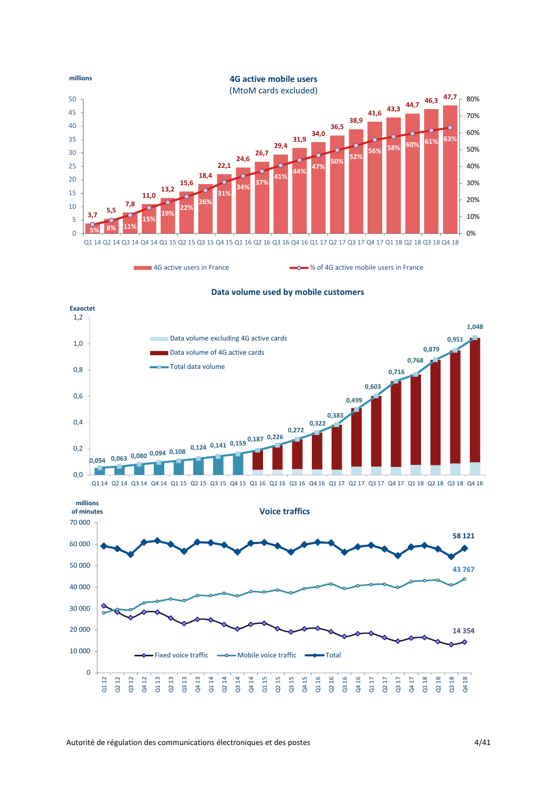

4G active users in France **1988** active mobile users in France



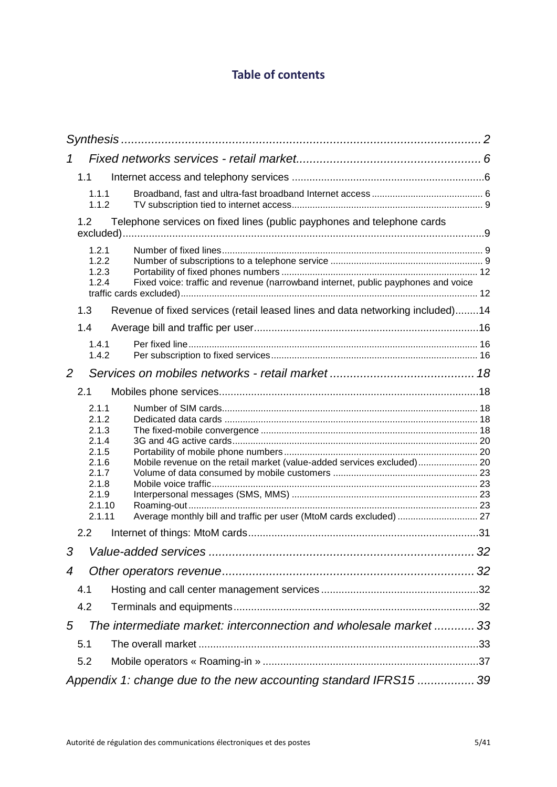# **Table of contents**

| 1                                                                                                                                                                                                                                                         |    |
|-----------------------------------------------------------------------------------------------------------------------------------------------------------------------------------------------------------------------------------------------------------|----|
| 1.1                                                                                                                                                                                                                                                       |    |
| 1.1.1<br>1.1.2                                                                                                                                                                                                                                            |    |
| Telephone services on fixed lines (public payphones and telephone cards<br>1.2 <sub>1</sub>                                                                                                                                                               |    |
| 1.2.1<br>1.2.2<br>1.2.3<br>1.2.4<br>Fixed voice: traffic and revenue (narrowband internet, public payphones and voice                                                                                                                                     |    |
| Revenue of fixed services (retail leased lines and data networking included)14<br>1.3                                                                                                                                                                     |    |
| 1.4                                                                                                                                                                                                                                                       |    |
| 1.4.1<br>1.4.2                                                                                                                                                                                                                                            |    |
| 2                                                                                                                                                                                                                                                         |    |
| 2.1                                                                                                                                                                                                                                                       |    |
| 2.1.1<br>2.1.2<br>2.1.3<br>2.1.4<br>2.1.5<br>2.1.6<br>Mobile revenue on the retail market (value-added services excluded) 20<br>2.1.7<br>2.1.8<br>2.1.9<br>2.1.10<br>2.1.11<br>Average monthly bill and traffic per user (MtoM cards excluded)  27<br>2.2 |    |
| 3                                                                                                                                                                                                                                                         | 32 |
| 4                                                                                                                                                                                                                                                         |    |
| 4.1                                                                                                                                                                                                                                                       |    |
| 4.2                                                                                                                                                                                                                                                       |    |
| The intermediate market: interconnection and wholesale market  33<br>5                                                                                                                                                                                    |    |
| 5.1                                                                                                                                                                                                                                                       |    |
| 5.2                                                                                                                                                                                                                                                       |    |
| Appendix 1: change due to the new accounting standard IFRS15  39                                                                                                                                                                                          |    |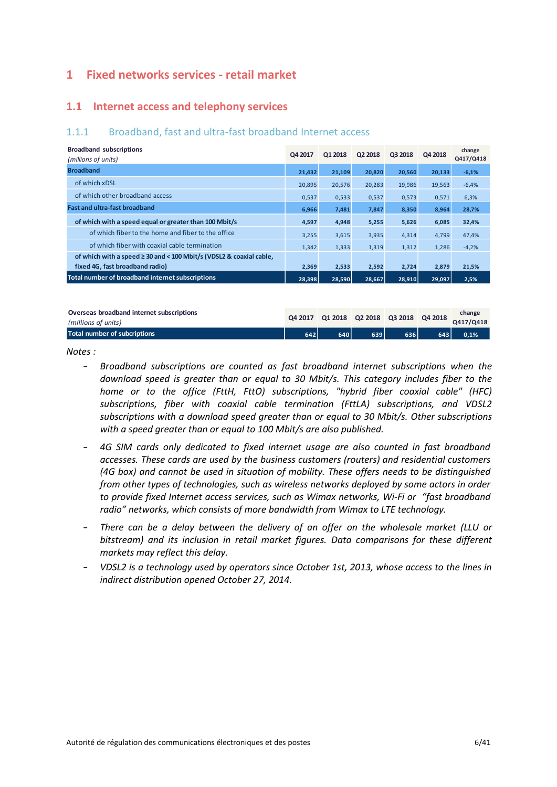# <span id="page-5-0"></span>**1 Fixed networks services - retail market**

#### <span id="page-5-1"></span>**1.1 Internet access and telephony services**

#### <span id="page-5-2"></span>1.1.1 Broadband, fast and ultra-fast broadband Internet access

| <b>Broadband subscriptions</b><br>(millions of units)                               | Q4 2017 | Q1 2018 | Q2 2018 | Q3 2018 | Q4 2018 | change<br>Q417/Q418 |
|-------------------------------------------------------------------------------------|---------|---------|---------|---------|---------|---------------------|
| <b>Broadband</b>                                                                    | 21,432  | 21,109  | 20,820  | 20,560  | 20,133  | $-6,1%$             |
| of which xDSL                                                                       | 20,895  | 20,576  | 20,283  | 19,986  | 19,563  | $-6,4%$             |
| of which other broadband access                                                     | 0,537   | 0,533   | 0,537   | 0,573   | 0,571   | 6,3%                |
| <b>Fast and ultra-fast broadband</b>                                                | 6,966   | 7,481   | 7,847   | 8,350   | 8,964   | 28,7%               |
| of which with a speed equal or greater than 100 Mbit/s                              | 4,597   | 4,948   | 5,255   | 5,626   | 6,085   | 32,4%               |
| of which fiber to the home and fiber to the office                                  | 3,255   | 3,615   | 3,935   | 4,314   | 4,799   | 47,4%               |
| of which fiber with coaxial cable termination                                       | 1,342   | 1,333   | 1,319   | 1,312   | 1,286   | $-4,2%$             |
| of which with a speed ≥ 30 and < 100 Mbit/s (VDSL2 & coaxial cable,                 |         |         |         |         |         |                     |
| fixed 4G, fast broadband radio)<br>Total number of broadband internet subscriptions | 2,369   | 2,533   | 2,592   | 2,724   | 2,879   | 21,5%               |
|                                                                                     | 28,398  | 28,590  | 28,667  | 28,910  | 29,097  | 2,5%                |
|                                                                                     |         |         |         |         |         |                     |
| Overseas broadband internet subscriptions                                           |         |         |         |         |         | change              |

| Overseas broadband internet subscriptions<br>(millions of units) |     |     | Q4 2017 Q1 2018 Q2 2018 Q3 2018 Q4 2018 |     |     | change<br>Q417/Q418 |
|------------------------------------------------------------------|-----|-----|-----------------------------------------|-----|-----|---------------------|
| Total number of subcriptions                                     | 642 | 640 | 639                                     | 636 | 643 | 0.1%                |

#### *Notes :*

- *Broadband subscriptions are counted as fast broadband internet subscriptions when the download speed is greater than or equal to 30 Mbit/s. This category includes fiber to the home or to the office (FttH, FttO) subscriptions, "hybrid fiber coaxial cable" (HFC) subscriptions, fiber with coaxial cable termination (FttLA) subscriptions, and VDSL2 subscriptions with a download speed greater than or equal to 30 Mbit/s. Other subscriptions with a speed greater than or equal to 100 Mbit/s are also published.*
- *4G SIM cards only dedicated to fixed internet usage are also counted in fast broadband accesses. These cards are used by the business customers (routers) and residential customers (4G box) and cannot be used in situation of mobility. These offers needs to be distinguished from other types of technologies, such as wireless networks deployed by some actors in order to provide fixed Internet access services, such as Wimax networks, Wi-Fi or "fast broadband radio" networks, which consists of more bandwidth from Wimax to LTE technology.*
- *There can be a delay between the delivery of an offer on the wholesale market (LLU or bitstream) and its inclusion in retail market figures. Data comparisons for these different markets may reflect this delay.*
- *VDSL2 is a technology used by operators since October 1st, 2013, whose access to the lines in indirect distribution opened October 27, 2014.*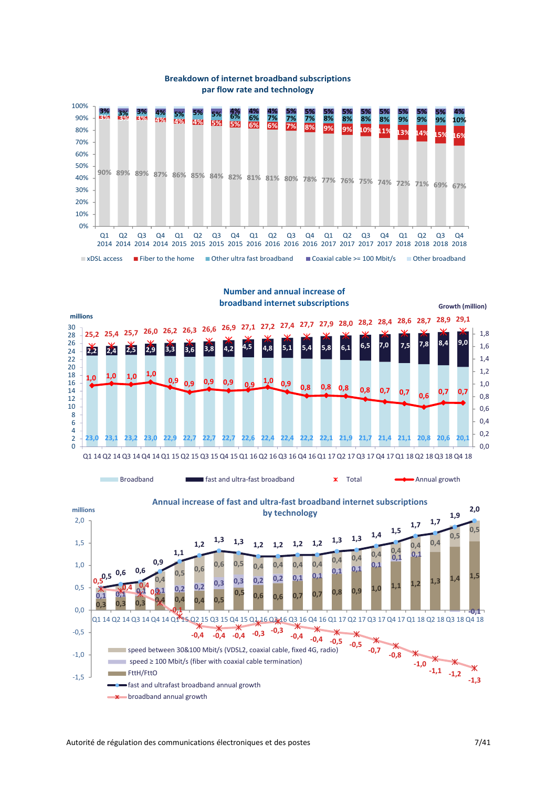



#### **Breakdown of internet broadband subscriptions par flow rate and technology**

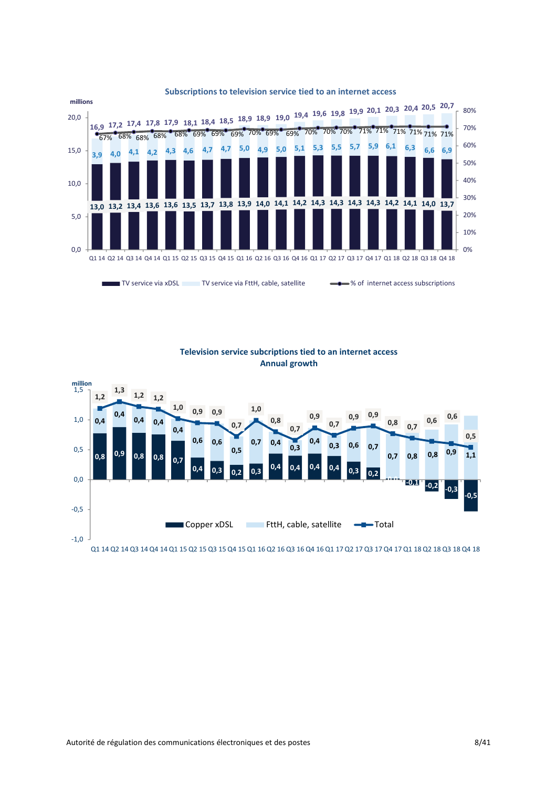

#### **Subscriptions to television service tied to an internet access**



**Television service subcriptions tied to an internet access Annual growth**

Q1 14 Q2 14 Q3 14 Q4 14 Q1 15 Q2 15 Q3 15 Q4 15 Q1 16 Q2 16 Q3 16 Q4 16 Q1 17 Q2 17 Q3 17 Q4 17 Q1 18 Q2 18 Q3 18 Q4 18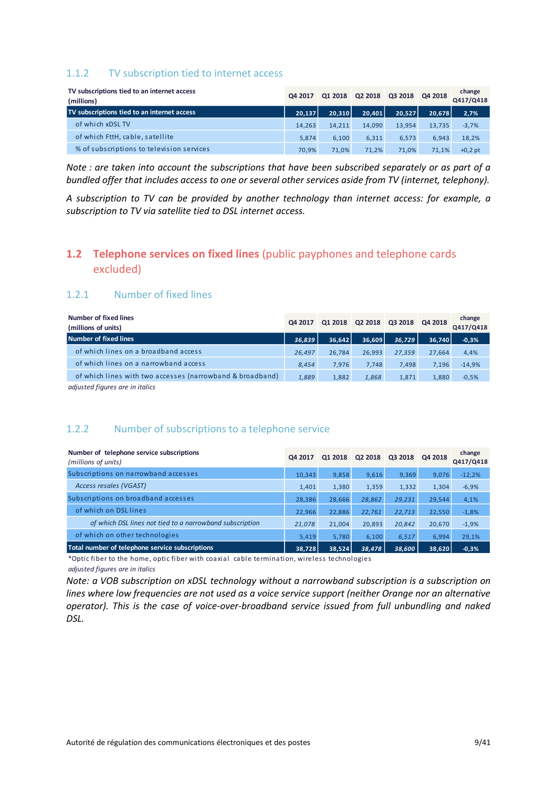#### <span id="page-8-0"></span>1.1.2 TV subscription tied to internet access

| TV subscriptions tied to an internet access<br>(millions) | Q4 2017 | Q1 2018 | Q2 2018 | Q3 2018 | Q4 2018 | change<br>Q417/Q418 |
|-----------------------------------------------------------|---------|---------|---------|---------|---------|---------------------|
| TV subscriptions tied to an internet access               | 20.137  | 20.310  | 20.401  | 20.527  | 20.678  | 2,7%                |
| of which xDSL TV                                          | 14,263  | 14.211  | 14.090  | 13,954  | 13,735  | $-3,7%$             |
| of which FttH, cable, satellite                           | 5.874   | 6.100   | 6.311   | 6.573   | 6,943   | 18,2%               |
| % of subscriptions to television services                 | 70.9%   | 71.0%   | 71.2%   | 71.0%   | 71.1%   | $+0.2$ pt           |

*Note : are taken into account the subscriptions that have been subscribed separately or as part of a bundled offer that includes access to one or several other services aside from TV (internet, telephony).* 

*A subscription to TV can be provided by another technology than internet access: for example, a subscription to TV via satellite tied to DSL internet access.*

# <span id="page-8-1"></span>**1.2 Telephone services on fixed lines** (public payphones and telephone cards excluded)

#### <span id="page-8-2"></span>1.2.1 Number of fixed lines

| Number of fixed lines<br>(millions of units)              | Q4 2017 | Q1 2018 | Q2 2018 | Q3 2018 | Q4 2018 | change<br>Q417/Q418 |
|-----------------------------------------------------------|---------|---------|---------|---------|---------|---------------------|
| Number of fixed lines                                     | 36.839  | 36.642  | 36.609  | 36.729  | 36.740  | $-0,3%$             |
| of which lines on a broadband access                      | 26.497  | 26.784  | 26,993  | 27.359  | 27.664  | 4,4%                |
| of which lines on a narrowband access                     | 8.454   | 7,976   | 7.748   | 7.498   | 7,196   | $-14,9%$            |
| of which lines with two accesses (narrowband & broadband) | 1,889   | 1.882   | 1.868   | 1.871   | 1,880   | $-0,5%$             |

*adjusted figures are in italics*

#### <span id="page-8-3"></span>1.2.2 Number of subscriptions to a telephone service

| Number of telephone service subscriptions<br>(millions of units) | Q4 2017 | Q1 2018 | Q2 2018 | Q3 2018 | Q4 2018 | change<br>Q417/Q418 |
|------------------------------------------------------------------|---------|---------|---------|---------|---------|---------------------|
| Subscriptions on narrowband accesses                             | 10,343  | 9,858   | 9,616   | 9,369   | 9,076   | $-12,2%$            |
| Access resales (VGAST)                                           | 1.401   | 1,380   | 1,359   | 1,332   | 1,304   | $-6,9%$             |
| Subscriptions on broadband accesses                              | 28,386  | 28,666  | 28,862  | 29,231  | 29,544  | 4,1%                |
| of which on DSL lines                                            | 22,966  | 22,886  | 22,761  | 22,713  | 22,550  | $-1,8%$             |
| of which DSL lines not tied to a narrowband subscription         | 21,078  | 21,004  | 20,893  | 20,842  | 20,670  | $-1,9%$             |
| of which on other technologies                                   | 5.419   | 5.780   | 6.100   | 6,517   | 6,994   | 29,1%               |
| Total number of telephone service subscriptions                  | 38.728  | 38.524  | 38.478  | 38,600  | 38,620  | $-0,3%$             |

\*Optic fiber to the home, optic fiber with coaxial cable termination, wireless technologies *adjusted figures are in italics*

*Note: a VOB subscription on xDSL technology without a narrowband subscription is a subscription on lines where low frequencies are not used as a voice service support (neither Orange nor an alternative operator). This is the case of voice-over-broadband service issued from full unbundling and naked DSL.*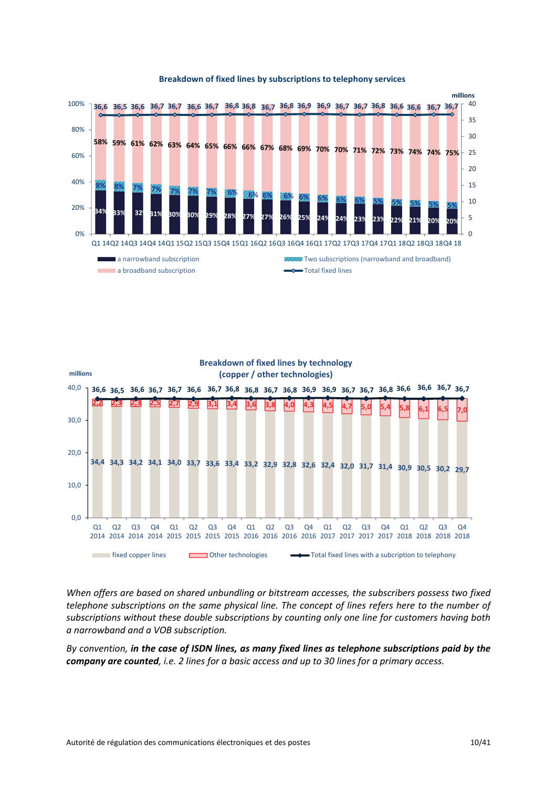

#### **Breakdown of fixed lines by subscriptions to telephony services**



*When offers are based on shared unbundling or bitstream accesses, the subscribers possess two fixed telephone subscriptions on the same physical line. The concept of lines refers here to the number of subscriptions without these double subscriptions by counting only one line for customers having both a narrowband and a VOB subscription.*

*By convention, in the case of ISDN lines, as many fixed lines as telephone subscriptions paid by the company are counted, i.e. 2 lines for a basic access and up to 30 lines for a primary access.*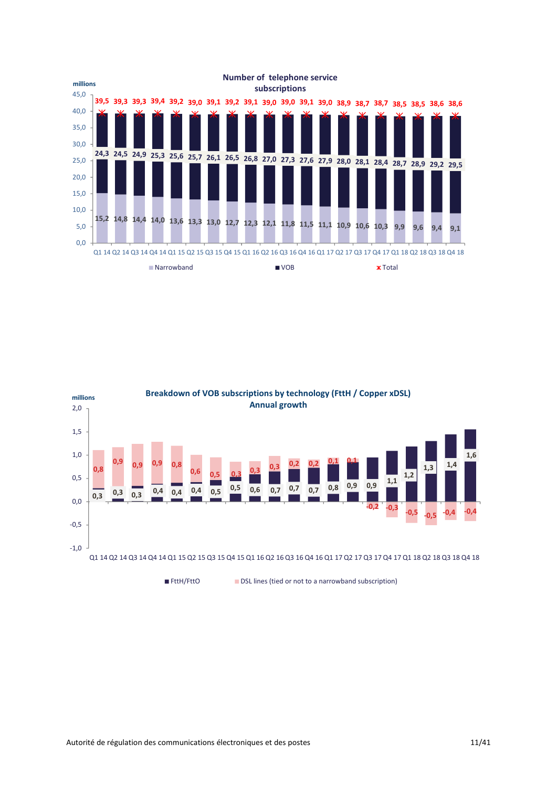

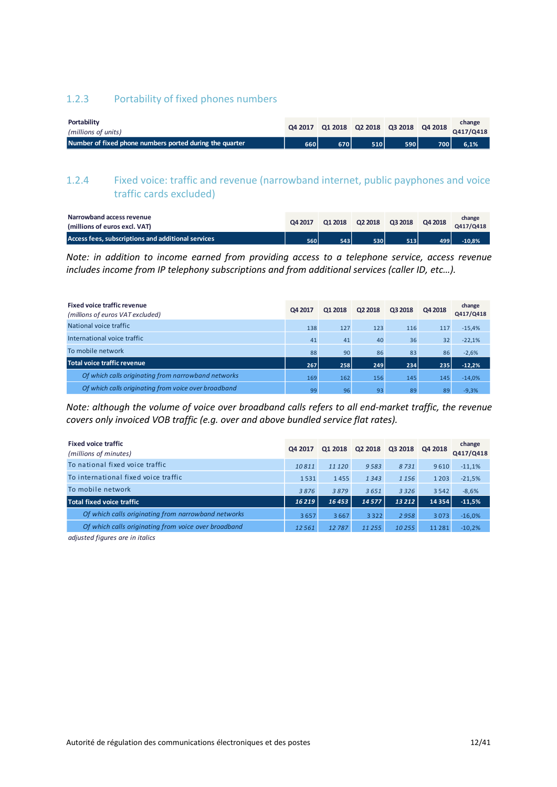#### <span id="page-11-0"></span>1.2.3 Portability of fixed phones numbers

| Portability<br>(millions of units)                      |     |     | Q4 2017 Q1 2018 Q2 2018 Q3 2018 Q4 2018 |       |       | change<br>Q417/Q418 |
|---------------------------------------------------------|-----|-----|-----------------------------------------|-------|-------|---------------------|
| Number of fixed phone numbers ported during the quarter | 660 | 670 | 510                                     | 590 l | 700 N | 6.1%                |

# <span id="page-11-1"></span>1.2.4 Fixed voice: traffic and revenue (narrowband internet, public payphones and voice traffic cards excluded)

| Narrowband access revenue<br>(millions of euros excl. VAT) | Q4 2017 | Q1 2018 | Q2 2018 | Q3 2018 | Q4 2018 | change<br>Q417/Q418 |
|------------------------------------------------------------|---------|---------|---------|---------|---------|---------------------|
| Access fees, subscriptions and additional services         | 560 N   | 543     | 530 N   | 513     | 499     | $-10.8%$            |

*Note: in addition to income earned from providing access to a telephone service, access revenue includes income from IP telephony subscriptions and from additional services (caller ID, etc…).*

| <b>Fixed voice traffic revenue</b><br>(millions of euros VAT excluded) | Q4 2017 | Q1 2018 | Q2 2018 | Q3 2018 | Q4 2018 | change<br>Q417/Q418 |
|------------------------------------------------------------------------|---------|---------|---------|---------|---------|---------------------|
| National voice traffic                                                 | 138     | 127     | 123     | 116     | 117     | $-15,4%$            |
| International voice traffic                                            | 41      | 41      | 40      | 36      | 32      | $-22,1%$            |
| To mobile network                                                      | 88      | 90      | 86      | 83      | 86      | $-2,6%$             |
| <b>Total voice traffic revenue</b>                                     | 267     | 258     | 249     | 234     | 235     | $-12,2%$            |
| Of which calls originating from narrowband networks                    | 169     | 162     | 156     | 145     | 145     | $-14,0%$            |
| Of which calls originating from voice over broadband                   | 99      | 96      | 93      | 89      | 89      | $-9.3%$             |

*Note: although the volume of voice over broadband calls refers to all end-market traffic, the revenue covers only invoiced VOB traffic (e.g. over and above bundled service flat rates).*

| <b>Fixed voice traffic</b><br>(millions of minutes)  | Q4 2017 | Q1 2018 | Q2 2018 | Q3 2018 | Q4 2018  | change<br>Q417/Q418 |
|------------------------------------------------------|---------|---------|---------|---------|----------|---------------------|
| To national fixed voice traffic                      | 10811   | 11 1 20 | 9583    | 8731    | 9610     | $-11,1%$            |
| To international fixed voice traffic                 | 1531    | 1455    | 1343    | 1 1 5 6 | 1 2 0 3  | $-21,5%$            |
| To mobile network                                    | 3876    | 3879    | 3651    | 3326    | 3542     | $-8,6%$             |
| Total fixed voice traffic                            | 16219   | 16453   | 14577   | 13 212  | 14354    | $-11,5%$            |
| Of which calls originating from narrowband networks  | 3657    | 3667    | 3322    | 2958    | 3073     | $-16,0%$            |
| Of which calls originating from voice over broadband | 12561   | 12787   | 11 255  | 10255   | 11 2 8 1 | $-10,2%$            |

*adjusted figures are in italics*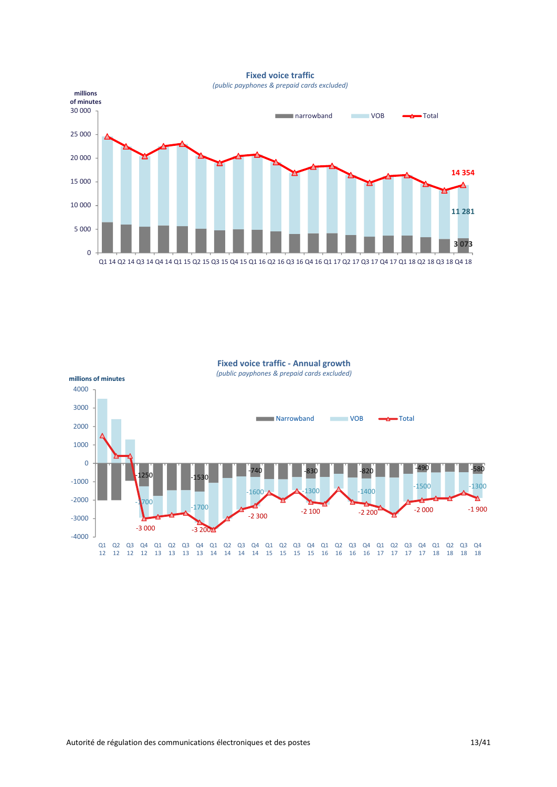**Fixed voice traffic**

*(public payphones & prepaid cards excluded)*



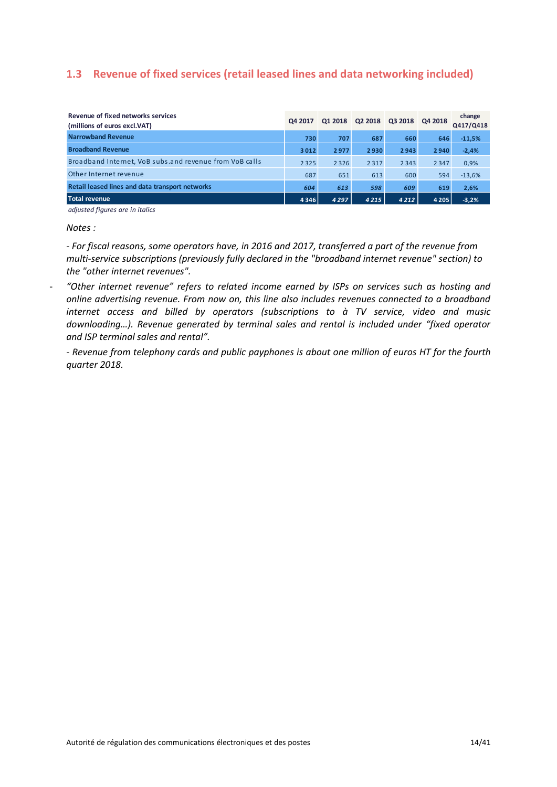# <span id="page-13-0"></span>**1.3 Revenue of fixed services (retail leased lines and data networking included)**

| Revenue of fixed networks services<br>(millions of euros excl.VAT) | Q4 2017 | Q1 2018 | Q2 2018 | Q3 2018 | Q4 2018 | change<br>Q417/Q418 |
|--------------------------------------------------------------------|---------|---------|---------|---------|---------|---------------------|
| <b>Narrowband Revenue</b>                                          | 730     | 707     | 687     | 660     | 646     | $-11,5%$            |
| <b>Broadband Revenue</b>                                           | 3012    | 2977    | 2930    | 2943    | 2940    | $-2,4%$             |
| Broadband Internet, VoB substand revenue from VoB calls            | 2 3 2 5 | 2 3 2 6 | 2317    | 2 3 4 3 | 2 3 4 7 | 0,9%                |
| Other Internet revenue                                             | 687     | 651     | 613     | 600     | 594     | $-13,6%$            |
| <b>Retail leased lines and data transport networks</b>             | 604     | 613     | 598     | 609     | 619     | 2,6%                |
| Total revenue                                                      | 4346    | 4 2 9 7 | 4 2 1 5 | 4212    | 4 2 0 5 | $-3,2%$             |

*adjusted figures are in italics*

#### *Notes :*

*- For fiscal reasons, some operators have, in 2016 and 2017, transferred a part of the revenue from multi-service subscriptions (previously fully declared in the "broadband internet revenue" section) to the "other internet revenues".*

- *"Other internet revenue" refers to related income earned by ISPs on services such as hosting and online advertising revenue. From now on, this line also includes revenues connected to a broadband internet access and billed by operators (subscriptions to à TV service, video and music downloading…). Revenue generated by terminal sales and rental is included under "fixed operator and ISP terminal sales and rental".*

*- Revenue from telephony cards and public payphones is about one million of euros HT for the fourth quarter 2018.*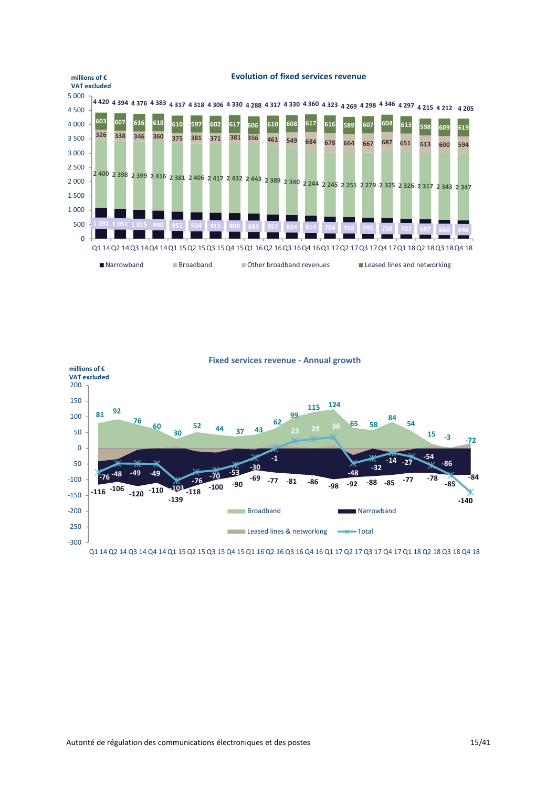

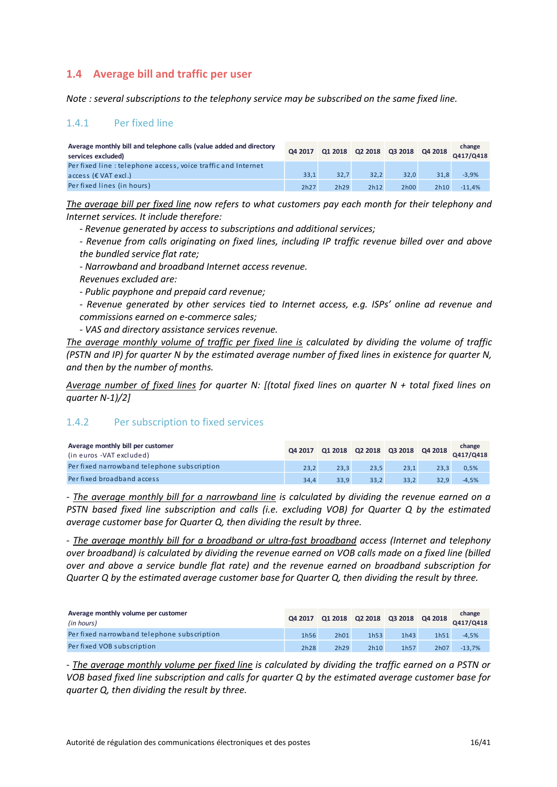# <span id="page-15-0"></span>**1.4 Average bill and traffic per user**

<span id="page-15-1"></span>*Note : several subscriptions to the telephony service may be subscribed on the same fixed line.*

#### 1.4.1 Per fixed line

| Average monthly bill and telephone calls (value added and directory<br>services excluded) |      |      | Q4 2017 Q1 2018 Q2 2018 Q3 2018 Q4 2018 |      |      | change<br>Q417/Q418 |
|-------------------------------------------------------------------------------------------|------|------|-----------------------------------------|------|------|---------------------|
| Per fixed line: telephone access, voice traffic and Internet                              |      |      |                                         |      |      |                     |
| $access$ ( $\epsilon$ VAT excl.)                                                          | 33.1 | 32.7 | 32.2                                    | 32.0 | 31.8 | $-3.9%$             |
| Per fixed lines (in hours)                                                                | 2h27 | 2h29 | 2h12                                    | 2h00 | 2h10 | $-11.4%$            |

*The average bill per fixed line now refers to what customers pay each month for their telephony and Internet services. It include therefore:*

*- Revenue generated by access to subscriptions and additional services;*

*- Revenue from calls originating on fixed lines, including IP traffic revenue billed over and above the bundled service flat rate;*

*- Narrowband and broadband Internet access revenue.*

*Revenues excluded are:*

*- Public payphone and prepaid card revenue;*

*- Revenue generated by other services tied to Internet access, e.g. ISPs' online ad revenue and commissions earned on e-commerce sales;*

*- VAS and directory assistance services revenue.*

*The average monthly volume of traffic per fixed line is calculated by dividing the volume of traffic (PSTN and IP) for quarter N by the estimated average number of fixed lines in existence for quarter N, and then by the number of months.*

*Average number of fixed lines for quarter N: [(total fixed lines on quarter N + total fixed lines on quarter N-1)/2]*

#### <span id="page-15-2"></span>1.4.2 Per subscription to fixed services

| Average monthly bill per customer<br>(in euros -VAT excluded) |      |      |      |      |                   | change<br>Q4 2017 Q1 2018 Q2 2018 Q3 2018 Q4 2018 Q417/Q418 |
|---------------------------------------------------------------|------|------|------|------|-------------------|-------------------------------------------------------------|
| Per fixed narrowband telephone subscription                   | 23.2 | 23.3 | 23.5 | 23.1 | 23.3 <sub>1</sub> | 0.5%                                                        |
| Per fixed broadband access                                    | 34.4 | 33.9 | 33.2 | 33.2 | 32.9              | $-4.5%$                                                     |

*- The average monthly bill for a narrowband line is calculated by dividing the revenue earned on a PSTN based fixed line subscription and calls (i.e. excluding VOB) for Quarter Q by the estimated average customer base for Quarter Q, then dividing the result by three.*

*- The average monthly bill for a broadband or ultra-fast broadband access (Internet and telephony over broadband) is calculated by dividing the revenue earned on VOB calls made on a fixed line (billed over and above a service bundle flat rate) and the revenue earned on broadband subscription for Quarter Q by the estimated average customer base for Quarter Q, then dividing the result by three.*

| Average monthly volume per customer<br>(in hours) |      |      |      |      |      | Q4 2017 Q1 2018 Q2 2018 Q3 2018 Q4 2018 Q417/Q418 |
|---------------------------------------------------|------|------|------|------|------|---------------------------------------------------|
| Per fixed narrowband telephone subscription       | 1h56 | 2h01 | 1h53 | 1h43 | 1h51 | $-4.5%$                                           |
| Per fixed VOB subscription                        | 2h28 | 2h29 | 2h10 | 1h57 | 2h07 | $-13.7%$                                          |

*- The average monthly volume per fixed line is calculated by dividing the traffic earned on a PSTN or VOB based fixed line subscription and calls for quarter Q by the estimated average customer base for quarter Q, then dividing the result by three.*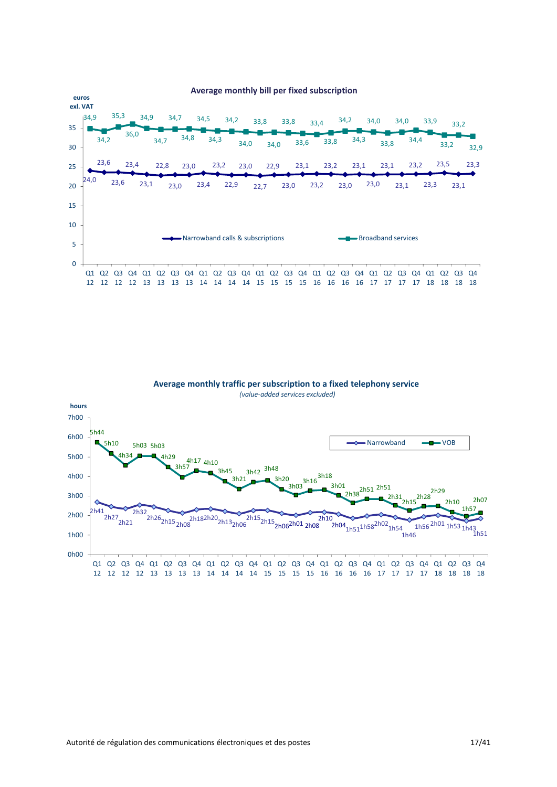



# **Average monthly traffic per subscription to a fixed telephony service**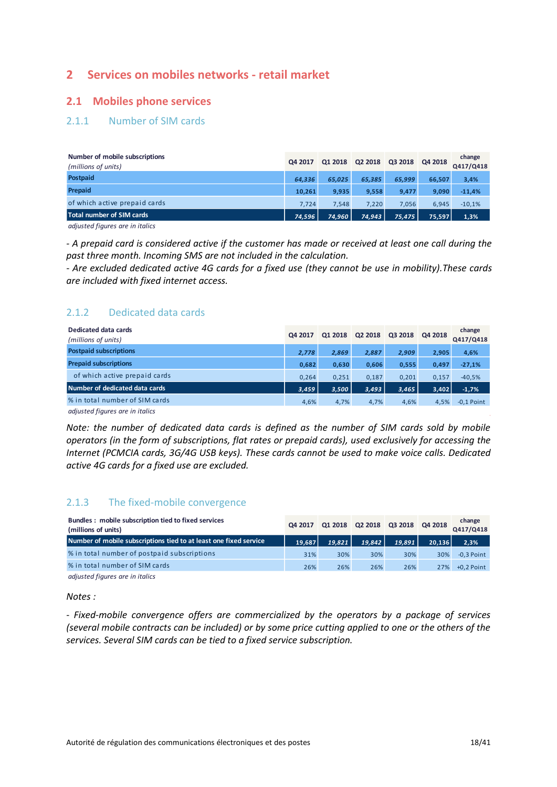# <span id="page-17-0"></span>**2 Services on mobiles networks - retail market**

#### <span id="page-17-1"></span>**2.1 Mobiles phone services**

#### <span id="page-17-2"></span>2.1.1 Number of SIM cards

| Number of mobile subscriptions<br>(millions of units)                                                         | Q4 2017 | Q1 2018 | Q2 2018 | Q3 2018 | Q4 2018 | change<br>Q417/Q418 |
|---------------------------------------------------------------------------------------------------------------|---------|---------|---------|---------|---------|---------------------|
| <b>Postpaid</b>                                                                                               | 64.336  | 65.025  | 65,385  | 65.999  | 66.507  | 3,4%                |
| Prepaid                                                                                                       | 10,261  | 9,935   | 9,558   | 9.477   | 9,090   | $-11,4%$            |
| of which active prepaid cards                                                                                 | 7.724   | 7.548   | 7.220   | 7.056   | 6.945   | $-10,1%$            |
| Total number of SIM cards                                                                                     | 74.596  | 74,960  | 74,943  | 75,475  | 75.597  | 1,3%                |
| the state of the company of the state of the state of the state of the state of the state of the state of the |         |         |         |         |         |                     |

*adjusted figures are in italics*

*- A prepaid card is considered active if the customer has made or received at least one call during the past three month. Incoming SMS are not included in the calculation.*

*- Are excluded dedicated active 4G cards for a fixed use (they cannot be use in mobility).These cards are included with fixed internet access.*

### <span id="page-17-3"></span>2.1.2 Dedicated data cards

| Dedicated data cards<br>(millions of units) | Q4 2017 | Q1 2018 | Q2 2018 | Q3 2018 | Q4 2018 | change<br>Q417/Q418 |
|---------------------------------------------|---------|---------|---------|---------|---------|---------------------|
| <b>Postpaid subscriptions</b>               | 2,778   | 2,869   | 2,887   | 2,909   | 2,905   | 4,6%                |
| <b>Prepaid subscriptions</b>                | 0,682   | 0,630   | 0,606   | 0,555   | 0.497   | $-27,1%$            |
| of which active prepaid cards               | 0.264   | 0.251   | 0.187   | 0.201   | 0.157   | $-40,5%$            |
| Number of dedicated data cards              | 3,459   | 3,500   | 3,493   | 3,465   | 3,402   | $-1,7%$             |
| % in total number of SIM cards              | 4,6%    | 4,7%    | 4,7%    | 4,6%    | 4,5%    | $-0.1$ Point        |

*adjusted figures are in italics*

*Note: the number of dedicated data cards is defined as the number of SIM cards sold by mobile operators (in the form of subscriptions, flat rates or prepaid cards), used exclusively for accessing the Internet (PCMCIA cards, 3G/4G USB keys). These cards cannot be used to make voice calls. Dedicated active 4G cards for a fixed use are excluded.* 

### <span id="page-17-4"></span>2.1.3 The fixed-mobile convergence

| Bundles: mobile subscription tied to fixed services<br>(millions of units) | Q4 2017 |        | Q1 2018 Q2 2018 Q3 2018 Q4 2018 |        |        | change<br>Q417/Q418 |
|----------------------------------------------------------------------------|---------|--------|---------------------------------|--------|--------|---------------------|
| Number of mobile subscriptions tied to at least one fixed service          | 19.687  | 19.821 | 19.842                          | 19.891 | 20.136 | 2,3%                |
| % in total number of postpaid subscriptions                                | 31%     | 30%    | 30%                             | 30%    | 30%    | $-0.3$ Point        |
| % in total number of SIM cards                                             | 26%     | 26%    | 26%                             | 26%    | 27%    | $+0.2$ Point        |
| adjusted figures are in italics                                            |         |        |                                 |        |        |                     |

*Notes :* 

- *Fixed-mobile convergence offers are commercialized by the operators by a package of services (several mobile contracts can be included) or by some price cutting applied to one or the others of the services. Several SIM cards can be tied to a fixed service subscription.*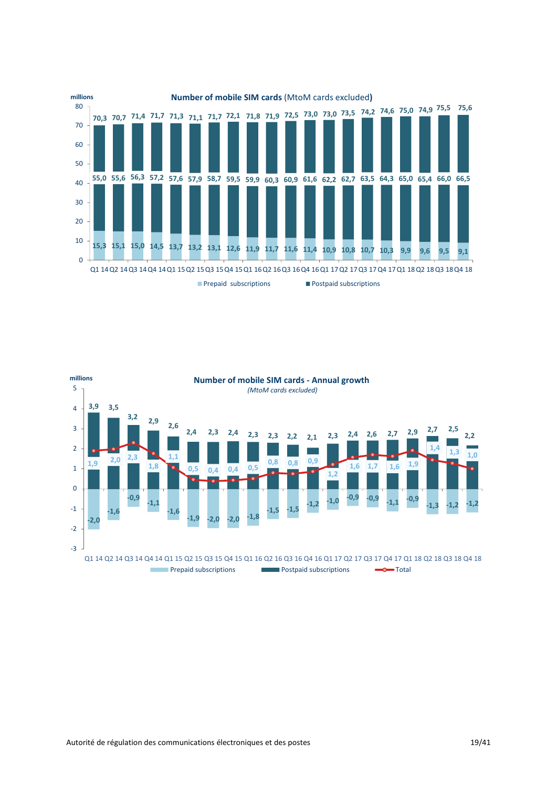

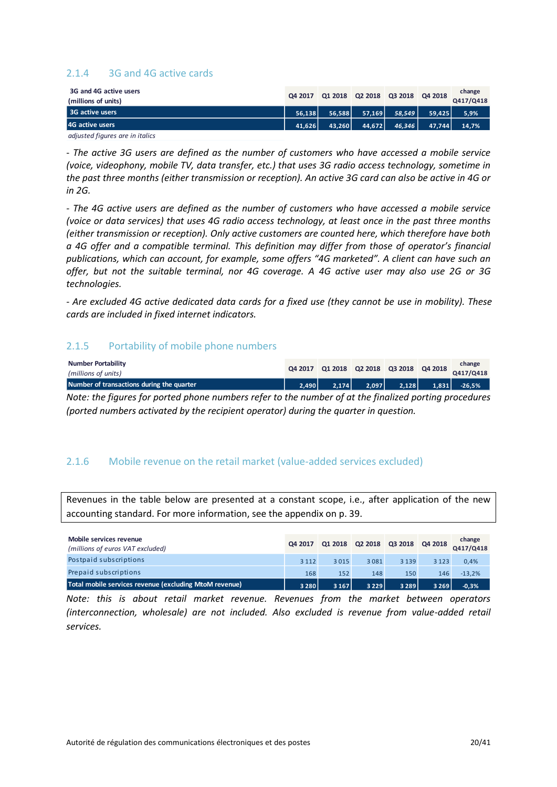#### <span id="page-19-0"></span>2.1.4 3G and 4G active cards

| 3G and 4G active users<br>(millions of units) | Q4 2017 |        | Q1 2018 Q2 2018 Q3 2018 Q4 2018 |        |        | change<br>Q417/Q418 |
|-----------------------------------------------|---------|--------|---------------------------------|--------|--------|---------------------|
| 3G active users                               | 56.138  | 56.588 | 57.169                          | 58,549 | 59.425 | 5,9%                |
| 4G active users                               | 41.626  | 43.260 | 44.672                          | 46.346 | 47.744 | 14,7%               |
| adjusted figures are in italics               |         |        |                                 |        |        |                     |

- *The active 3G users are defined as the number of customers who have accessed a mobile service (voice, videophony, mobile TV, data transfer, etc.) that uses 3G radio access technology, sometime in the past three months (either transmission or reception). An active 3G card can also be active in 4G or in 2G.*

*- The 4G active users are defined as the number of customers who have accessed a mobile service (voice or data services) that uses 4G radio access technology, at least once in the past three months (either transmission or reception). Only active customers are counted here, which therefore have both a 4G offer and a compatible terminal. This definition may differ from those of operator's financial publications, which can account, for example, some offers "4G marketed". A client can have such an offer, but not the suitable terminal, nor 4G coverage. A 4G active user may also use 2G or 3G technologies.*

*- Are excluded 4G active dedicated data cards for a fixed use (they cannot be use in mobility). These cards are included in fixed internet indicators.* 

#### <span id="page-19-1"></span>2.1.5 Portability of mobile phone numbers

| Number Portability<br>(millions of units)                                                             |       |  |                                                                                                                                         |  |  | change<br>Q4 2017 Q1 2018 Q2 2018 Q3 2018 Q4 2018 Q417/Q418 |  |
|-------------------------------------------------------------------------------------------------------|-------|--|-----------------------------------------------------------------------------------------------------------------------------------------|--|--|-------------------------------------------------------------|--|
| Number of transactions during the quarter                                                             | 2.490 |  | $\begin{array}{ c c c c c c c c } \hline \text{2,174} & \text{2,097} & \text{2,128} & \text{1,831} & \text{-26,5\%} \hline \end{array}$ |  |  |                                                             |  |
| Note: the figures for ported phone numbers refer to the number of at the finalized porting procedures |       |  |                                                                                                                                         |  |  |                                                             |  |

*Note: the figures for ported phone numbers refer to the number of at the finalized porting procedures (ported numbers activated by the recipient operator) during the quarter in question.*

#### <span id="page-19-2"></span>2.1.6 Mobile revenue on the retail market (value-added services excluded)

Revenues in the table below are presented at a constant scope, i.e., after application of the new accounting standard. For more information, see the appendix on p. 39.

| Mobile services revenue<br>(millions of euros VAT excluded) | Q4 2017 |         | Q1 2018 Q2 2018 Q3 2018 Q4 2018 |         |         | change<br>Q417/Q418 |
|-------------------------------------------------------------|---------|---------|---------------------------------|---------|---------|---------------------|
| Postpaid subscriptions                                      | 3 1 1 2 | 3015    | 3081                            | 3 1 3 9 | 3 1 2 3 | 0.4%                |
| Prepaid subscriptions                                       | 168     | 152     | 148                             | 150     | 146     | $-13.2%$            |
| Total mobile services revenue (excluding MtoM revenue)      | 3 2 8 0 | 3 1 6 7 | 3 2 2 9                         | 3 2 8 9 | 3 2 6 9 | $-0,3%$             |

*Note: this is about retail market revenue. Revenues from the market between operators (interconnection, wholesale) are not included. Also excluded is revenue from value-added retail services.*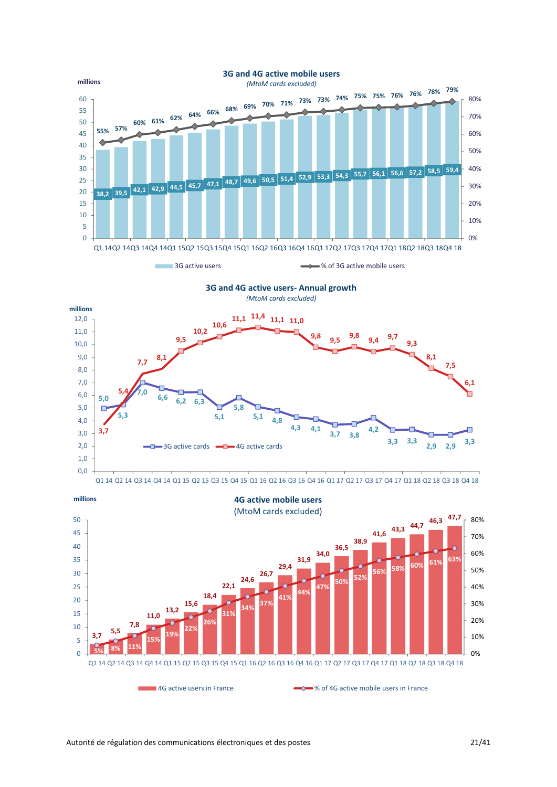



Q1 14 Q2 14 Q3 14 Q4 14 Q1 15 Q2 15 Q3 15 Q4 15 Q1 16 Q2 16 Q3 16 Q4 16 Q1 17 Q2 17 Q3 17 Q4 17 Q1 18 Q2 18 Q3 18 Q4 18



0,0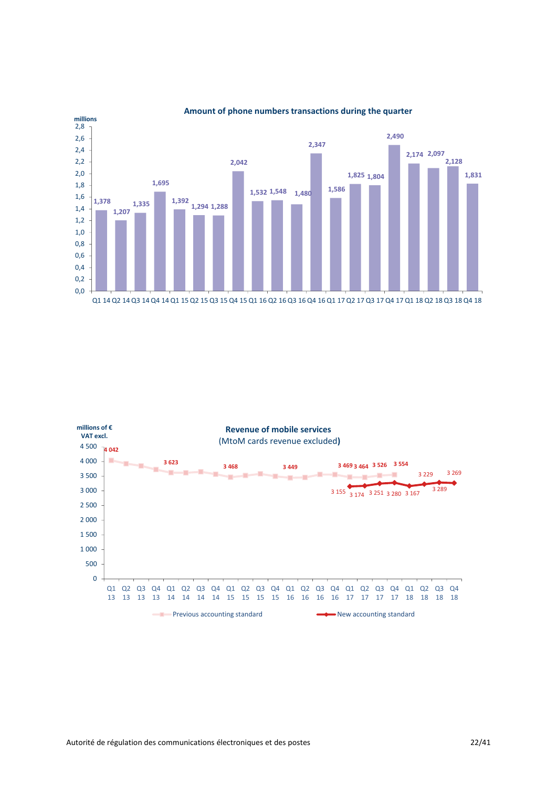

**Amount of phone numbers transactions during the quarter**

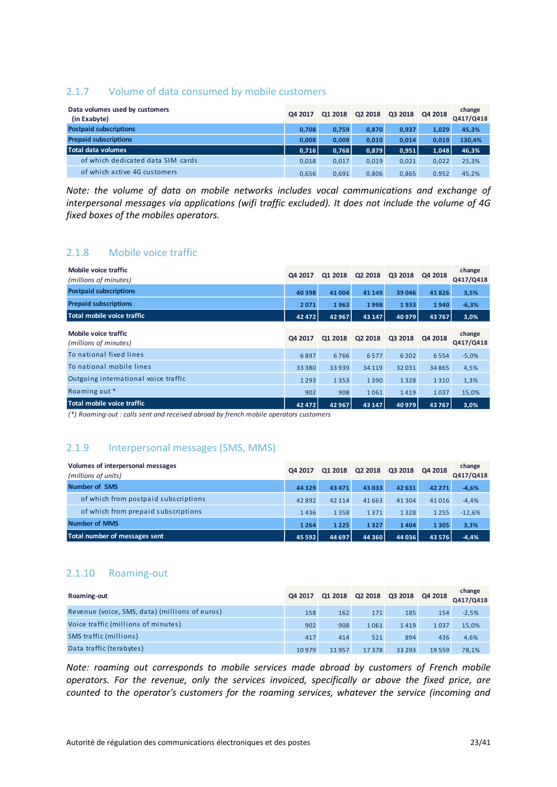#### <span id="page-22-0"></span>2.1.7 Volume of data consumed by mobile customers

| Data volumes used by customers<br>(in Exabyte) | Q4 2017 | Q1 2018 | Q2 2018 | Q3 2018 | Q4 2018 | change<br>Q417/Q418 |
|------------------------------------------------|---------|---------|---------|---------|---------|---------------------|
| <b>Postpaid subscriptions</b>                  | 0.708   | 0.759   | 0.870   | 0,937   | 1,029   | 45,3%               |
| <b>Prepaid subscriptions</b>                   | 0.008   | 0.009   | 0.010   | 0,014   | 0,019   | 130,4%              |
| Total data volumes                             | 0,716   | 0,768   | 0,879   | 0,951   | 1,048   | 46,3%               |
| of which dedicated data SIM cards              | 0,018   | 0,017   | 0,019   | 0,021   | 0,022   | 25,3%               |
| of which active 4G customers                   | 0,656   | 0.691   | 0.806   | 0,865   | 0.952   | 45.2%               |

*Note: the volume of data on mobile networks includes vocal communications and exchange of interpersonal messages via applications (wifi traffic excluded). It does not include the volume of 4G fixed boxes of the mobiles operators.*

#### <span id="page-22-1"></span>2.1.8 Mobile voice traffic

| Mobile voice traffic<br>(millions of minutes) | Q4 2017 | Q1 2018 | Q2 2018 | Q3 2018 | Q4 2018 | change<br>Q417/Q418 |
|-----------------------------------------------|---------|---------|---------|---------|---------|---------------------|
| <b>Postpaid subscriptions</b>                 | 40 398  | 41 004  | 41 149  | 39 046  | 41826   | 3,5%                |
| <b>Prepaid subscriptions</b>                  | 2071    | 1963    | 1998    | 1933    | 1940    | $-6,3%$             |
| Total mobile voice traffic                    | 42 472  | 42 967  | 43 147  | 40 979  | 43767   | 3,0%                |
| Mobile voice traffic<br>(millions of minutes) | Q4 2017 | Q1 2018 | Q2 2018 | Q3 2018 | Q4 2018 | change<br>Q417/Q418 |
| To national fixed lines                       | 6897    | 6766    | 6577    | 6 2 0 2 | 6554    | $-5,0%$             |
| To national mobile lines                      | 33 3 80 | 33939   | 34 1 19 | 32031   | 34 8 65 | 4,5%                |
| Outgoing international voice traffic          | 1 2 9 3 | 1353    | 1390    | 1328    | 1310    | 1,3%                |
| Roaming out *                                 | 902     | 908     | 1061    | 1419    | 1037    | 15,0%               |
| Total mobile voice traffic                    | 42 472  | 42 967  | 43 147  | 40 979  | 43767   | 3,0%                |

*(\*) Roaming-out : calls sent and received abroad by french mobile operators customers*

#### <span id="page-22-2"></span>2.1.9 Interpersonal messages (SMS, MMS)

| Volumes of interpersonal messages<br>(millions of units) | Q4 2017  | Q1 2018 | Q2 2018 | Q3 2018  | Q4 2018  | change<br>Q417/Q418 |
|----------------------------------------------------------|----------|---------|---------|----------|----------|---------------------|
| <b>Number of SMS</b>                                     | 44 3 29  | 43 4 71 | 43033   | 42 631   | 42 2 7 1 | $-4,6%$             |
| of which from postpaid subscriptions                     | 42892    | 42 114  | 41663   | 41 3 0 4 | 41016    | $-4,4%$             |
| of which from prepaid subscriptions                      | 1436     | 1358    | 1371    | 1328     | 1 2 5 5  | $-12,6%$            |
| <b>Number of MMS</b>                                     | 1264     | 1225    | 1327    | 1404     | 1305     | 3,3%                |
| Total number of messages sent                            | 45 5 9 2 | 44 697  | 44 3 60 | 44 036   | 43 5 7 6 | $-4.4%$             |

#### <span id="page-22-3"></span>2.1.10 Roaming-out

| Roaming-out                                    | Q4 2017 |       | Q1 2018 Q2 2018 Q3 2018 Q4 2018 |          |       | change<br>Q417/Q418 |
|------------------------------------------------|---------|-------|---------------------------------|----------|-------|---------------------|
| Revenue (voice, SMS, data) (millions of euros) | 158     | 162   | 171                             | 185      | 154   | $-2,5%$             |
| Voice traffic (millions of minutes)            | 902     | 908   | 1061                            | 1419     | 1037  | 15,0%               |
| SMS traffic (millions)                         | 417     | 414   | 521                             | 894      | 436   | 4,6%                |
| Data traffic (terabytes)                       | 10979   | 11957 | 17378                           | 33 2 9 3 | 19559 | 78.1%               |

*Note: roaming out corresponds to mobile services made abroad by customers of French mobile operators. For the revenue, only the services invoiced, specifically or above the fixed price, are counted to the operator's customers for the roaming services, whatever the service (incoming and*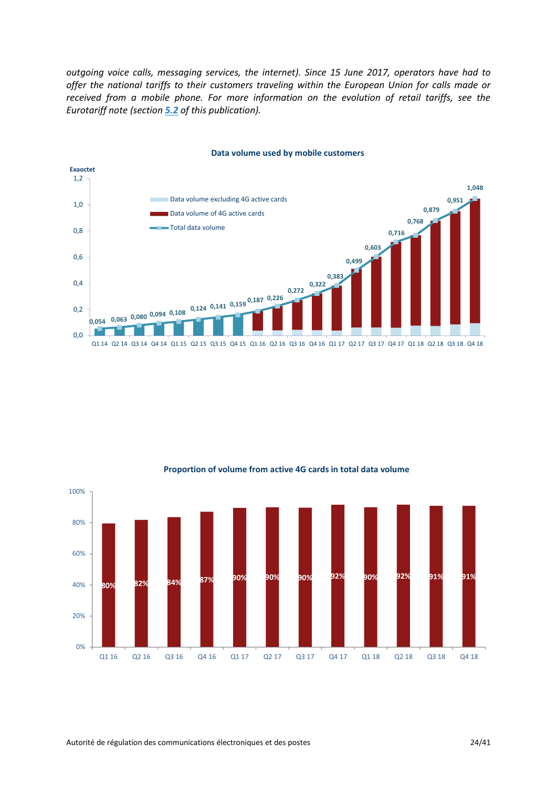*outgoing voice calls, messaging services, the internet). Since 15 June 2017, operators have had to offer the national tariffs to their customers traveling within the European Union for calls made or received from a mobile phone. For more information on the evolution of retail tariffs, see the Eurotariff note (section [5.2](#page-36-0) of this publication).*







#### **Proportion of volume from active 4G cards in total data volume**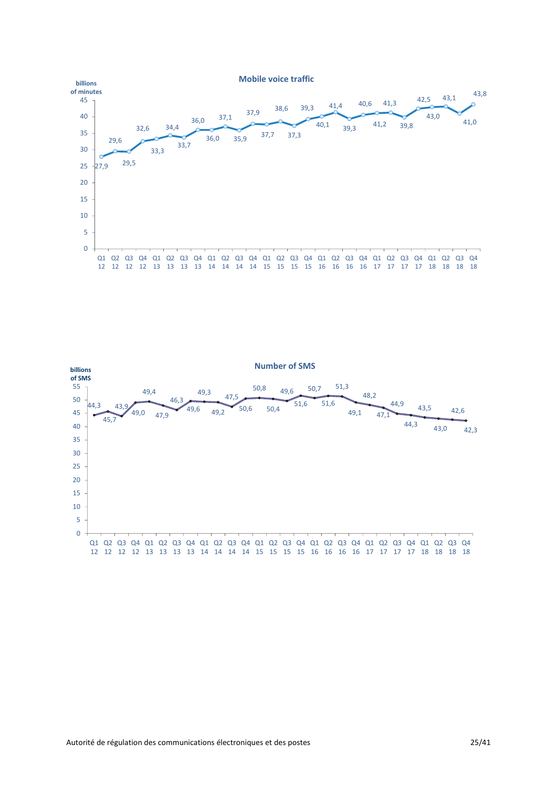

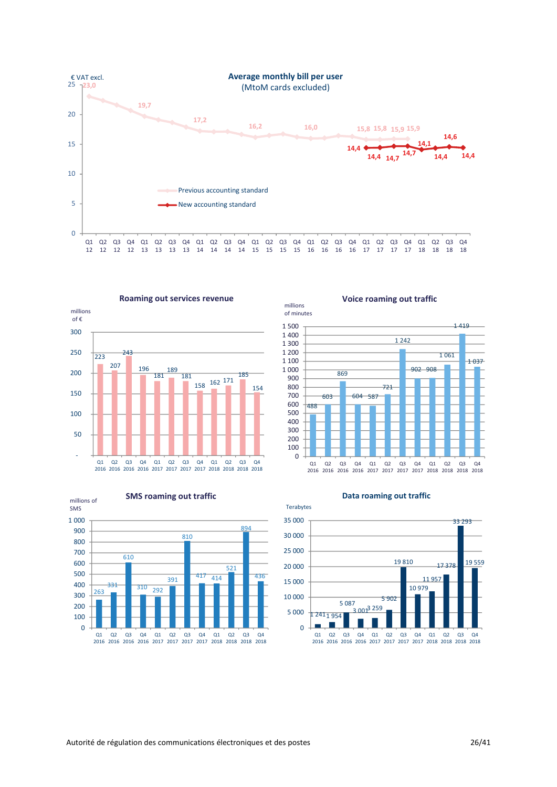





**Voice roaming out traffic**



**Data roaming out traffic**



millions of minutes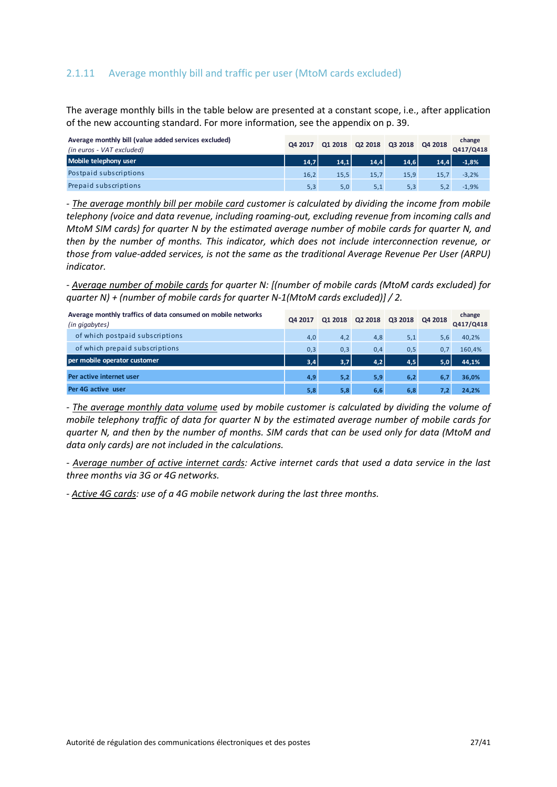#### <span id="page-26-0"></span>2.1.11 Average monthly bill and traffic per user (MtoM cards excluded)

The average monthly bills in the table below are presented at a constant scope, i.e., after application of the new accounting standard. For more information, see the appendix on p. 39.

| Average monthly bill (value added services excluded)<br>(in euros - VAT excluded) | Q4 2017 |      | Q1 2018 Q2 2018 Q3 2018 Q4 2018 |      |      | change<br>Q417/Q418 |
|-----------------------------------------------------------------------------------|---------|------|---------------------------------|------|------|---------------------|
| Mobile telephony user                                                             | 14.7    | 14.1 | 14.4                            | 14.6 | 14,4 | $-1,8%$             |
| Postpaid subscriptions                                                            | 16,2    | 15.5 | 15.7                            | 15.9 | 15.7 | $-3.2%$             |
| Prepaid subscriptions                                                             | 5,3     | 5,0  | 5,1                             | 5,3  |      | $-1.9%$             |

*- The average monthly bill per mobile card customer is calculated by dividing the income from mobile telephony (voice and data revenue, including roaming-out, excluding revenue from incoming calls and MtoM SIM cards) for quarter N by the estimated average number of mobile cards for quarter N, and then by the number of months. This indicator, which does not include interconnection revenue, or those from value-added services, is not the same as the traditional Average Revenue Per User (ARPU) indicator.*

*- Average number of mobile cards for quarter N: [(number of mobile cards (MtoM cards excluded) for quarter N) + (number of mobile cards for quarter N-1(MtoM cards excluded)] / 2.*

| Average monthly traffics of data consumed on mobile networks<br>(in gigabytes) | Q4 2017 | Q1 2018 | Q2 2018 | Q3 2018 | Q4 2018 | change<br>Q417/Q418 |
|--------------------------------------------------------------------------------|---------|---------|---------|---------|---------|---------------------|
| of which postpaid subscriptions                                                | 4,0     | 4,2     | 4,8     | 5,1     | 5,6     | 40,2%               |
| of which prepaid subscriptions                                                 | 0,3     | 0,3     | 0,4     | 0,5     | 0,7     | 160,4%              |
| per mobile operator customer                                                   | 3,4     | 3,7     | 4.2     | 4,5     | 5.0     | 44,1%               |
| Per active internet user                                                       | 4,9     | 5,2     | 5,9     | 6,2     | 6.7     | 36,0%               |
| Per 4G active user                                                             | 5,8     | 5,8     | 6,6     | 6,8     | 7.2     | 24,2%               |

*- The average monthly data volume used by mobile customer is calculated by dividing the volume of mobile telephony traffic of data for quarter N by the estimated average number of mobile cards for quarter N, and then by the number of months. SIM cards that can be used only for data (MtoM and data only cards) are not included in the calculations.*

*- Average number of active internet cards: Active internet cards that used a data service in the last three months via 3G or 4G networks.*

*- Active 4G cards: use of a 4G mobile network during the last three months.*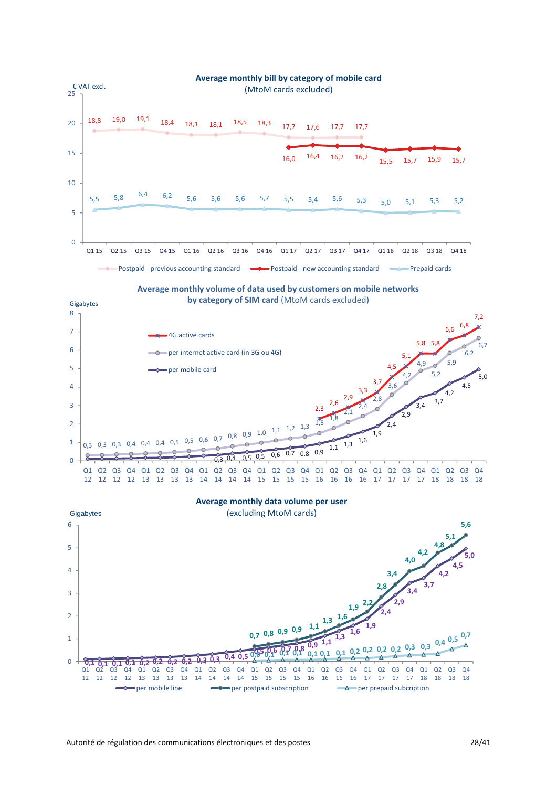

**Average monthly volume of data used by customers on mobile networks by category of SIM card** (MtoM cards excluded)





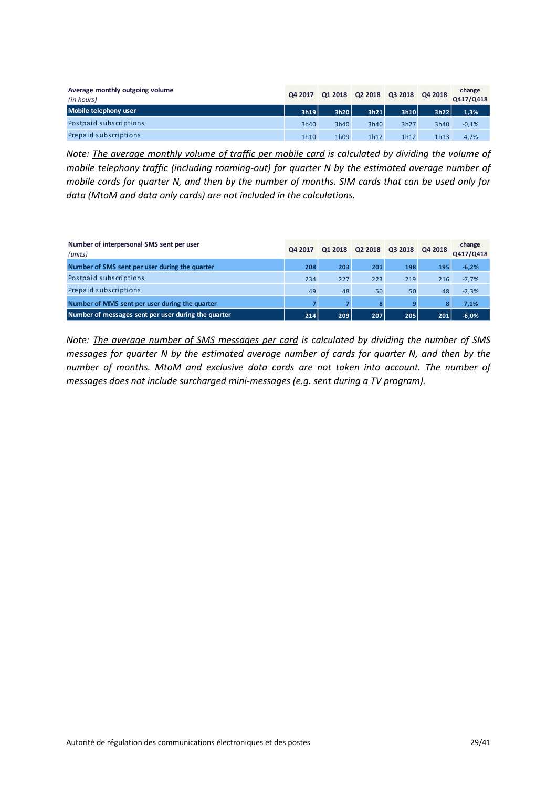| Average monthly outgoing volume<br>(in hours) | Q4 2017 | Q1 2018 | Q2 2018 Q3 2018 |      | Q4 2018 | change<br>Q417/Q418 |
|-----------------------------------------------|---------|---------|-----------------|------|---------|---------------------|
| Mobile telephony user                         | 3h19    | 3h20    | 3h21            | 3h10 | 3h22    | 1,3%                |
| Postpaid subscriptions                        | 3h40    | 3h40    | 3h40            | 3h27 | 3h40    | $-0,1%$             |
| Prepaid subscriptions                         | 1h10    | 1h09    | 1h12            | 1h12 | 1h13    | 4,7%                |

*Note: The average monthly volume of traffic per mobile card is calculated by dividing the volume of mobile telephony traffic (including roaming-out) for quarter N by the estimated average number of mobile cards for quarter N, and then by the number of months. SIM cards that can be used only for data (MtoM and data only cards) are not included in the calculations.*

| Number of interpersonal SMS sent per user<br>(units) | Q4 2017 | Q1 2018 | Q2 2018 | Q3 2018 | Q4 2018 | change<br>Q417/Q418 |
|------------------------------------------------------|---------|---------|---------|---------|---------|---------------------|
| Number of SMS sent per user during the quarter       | 208     | 203     | 201     | 198     | 195     | $-6,2%$             |
| Postpaid subscriptions                               | 234     | 227     | 223     | 219     | 216     | $-7,7%$             |
| Prepaid subscriptions                                | 49      | 48      | 50      | 50      | 48      | $-2,3%$             |
| Number of MMS sent per user during the quarter       |         |         | 8       | 9       |         | 7.1%                |
| Number of messages sent per user during the quarter  | 214     | 209     | 207     | 205     | 201     | $-6.0%$             |

*Note: The average number of SMS messages per card is calculated by dividing the number of SMS messages for quarter N by the estimated average number of cards for quarter N, and then by the number of months. MtoM and exclusive data cards are not taken into account. The number of messages does not include surcharged mini-messages (e.g. sent during a TV program).*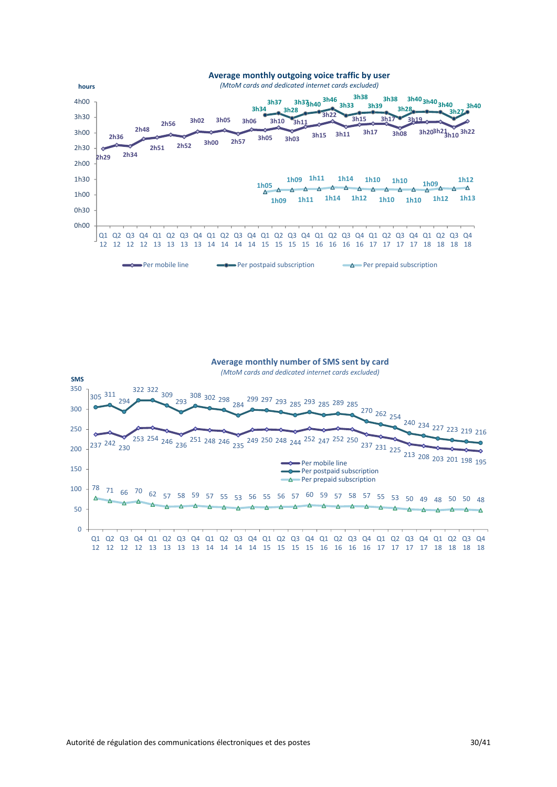

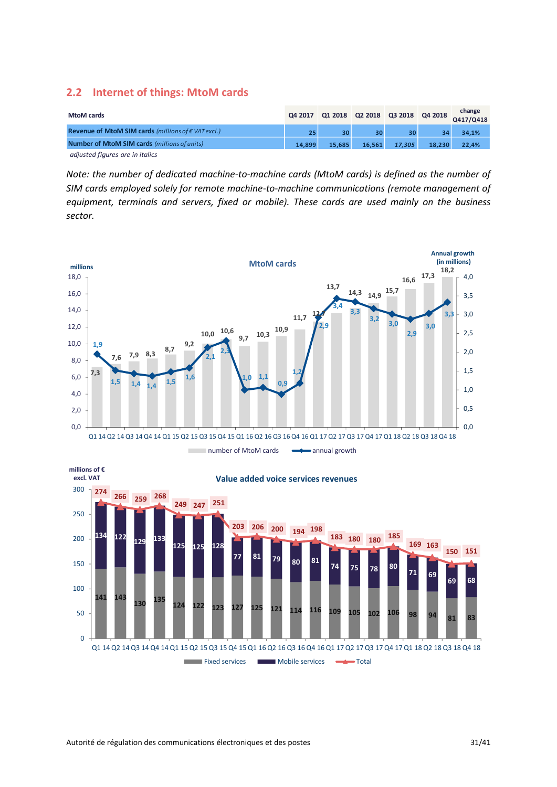#### <span id="page-30-0"></span>**2.2 Internet of things: MtoM cards**

| MtoM cards                                                   |        | Q4 2017 Q1 2018 Q2 2018 Q3 2018 Q4 2018 |        |        |                 | change<br>Q417/Q418 |
|--------------------------------------------------------------|--------|-----------------------------------------|--------|--------|-----------------|---------------------|
| Revenue of MtoM SIM cards (millions of $\epsilon$ VAT excl.) |        | 30                                      | 30     | 30     | 34 <sub>1</sub> | 34.1%               |
| Number of MtoM SIM cards (millions of units)                 | 14.899 | 15.685                                  | 16.561 | 17,305 | 18.230          | 22.4%               |
| adjusted figures are in italics                              |        |                                         |        |        |                 |                     |

*Note: the number of dedicated machine-to-machine cards (MtoM cards) is defined as the number of SIM cards employed solely for remote machine-to-machine communications (remote management of equipment, terminals and servers, fixed or mobile). These cards are used mainly on the business sector.*



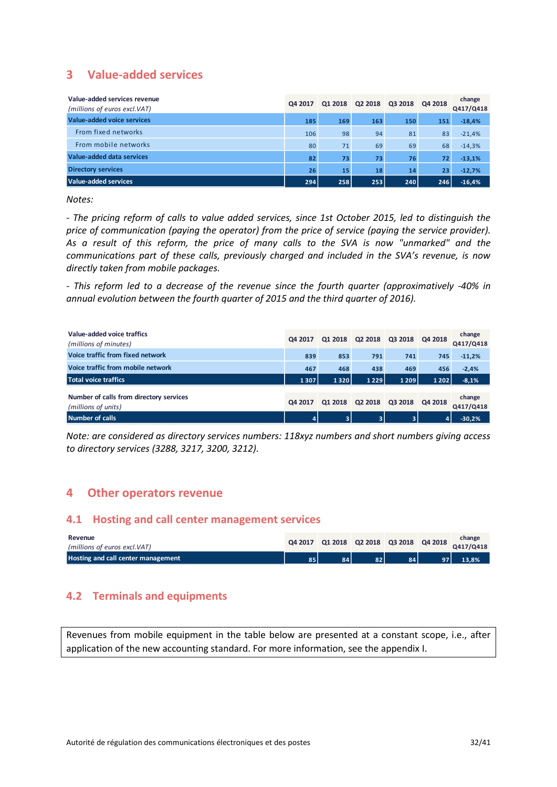# <span id="page-31-0"></span>**3 Value-added services**

| Value-added services revenue<br>(millions of euros excl. VAT) | Q4 2017 | 01 2018 | Q2 2018 | Q3 2018 | Q4 2018 | change<br>Q417/Q418 |
|---------------------------------------------------------------|---------|---------|---------|---------|---------|---------------------|
| Value-added voice services                                    | 185     | 169     | 163     | 150     | 151     | $-18,4%$            |
| From fixed networks                                           | 106     | 98      | 94      | 81      | 83      | $-21,4%$            |
| From mobile networks                                          | 80      | 71      | 69      | 69      | 68      | $-14,3%$            |
| Value-added data services                                     | 82      | 73      | 73      | 76      | 72      | $-13,1%$            |
| <b>Directory services</b>                                     | 26      | 15      | 18      | 14      | 23      | $-12,7%$            |
| Value-added services                                          | 294     | 258     | 253     | 240     | 246     | $-16,4%$            |

*Notes:*

*- The pricing reform of calls to value added services, since 1st October 2015, led to distinguish the price of communication (paying the operator) from the price of service (paying the service provider). As a result of this reform, the price of many calls to the SVA is now "unmarked" and the communications part of these calls, previously charged and included in the SVA's revenue, is now directly taken from mobile packages.*

*- This reform led to a decrease of the revenue since the fourth quarter (approximatively -40% in annual evolution between the fourth quarter of 2015 and the third quarter of 2016).*

| Value-added voice traffics<br>(millions of minutes)            | Q4 2017 | Q1 2018 | Q2 2018 | Q3 2018        | Q4 2018 | change<br>Q417/Q418 |
|----------------------------------------------------------------|---------|---------|---------|----------------|---------|---------------------|
| Voice traffic from fixed network                               | 839     | 853     | 791     | 741            | 745     | $-11,2%$            |
| Voice traffic from mobile network                              | 467     | 468     | 438     | 469            | 456     | $-2,4%$             |
| Total voice traffics                                           | 1307    | 1320    | 1229    | 1 2 0 9        | 1 2 0 2 | $-8,1%$             |
| Number of calls from directory services<br>(millions of units) | Q4 2017 | Q1 2018 | Q2 2018 | Q3 2018        | Q4 2018 | change<br>Q417/Q418 |
| Number of calls                                                | ъ.      | 3       | 3       | 3 <sup>1</sup> | 4       | $-30.2%$            |

*Note: are considered as directory services numbers: 118xyz numbers and short numbers giving access to directory services (3288, 3217, 3200, 3212).*

### <span id="page-31-1"></span>**4 Other operators revenue**

#### <span id="page-31-2"></span>**4.1 Hosting and call center management services**

| Revenue<br>(millions of euros excl.VAT) |    |    | Q4 2017 Q1 2018 Q2 2018 Q3 2018 Q4 2018 |     |    | change<br>Q417/Q418 |
|-----------------------------------------|----|----|-----------------------------------------|-----|----|---------------------|
| Hosting and call center management      | 85 | 84 | 82                                      | 84. | 97 | 13,8%               |

# <span id="page-31-3"></span>**4.2 Terminals and equipments**

Revenues from mobile equipment in the table below are presented at a constant scope, i.e., after application of the new accounting standard. For more information, see the appendix I.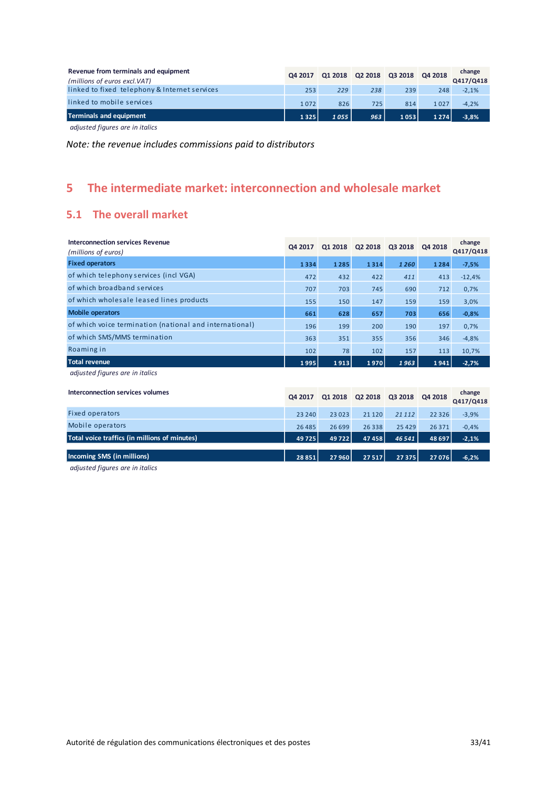| Revenue from terminals and equipment<br>(millions of euros excl.VAT)                                   | Q4 2017 |      | Q1 2018 Q2 2018 Q3 2018 Q4 2018 |      |         | change<br>Q417/Q418 |
|--------------------------------------------------------------------------------------------------------|---------|------|---------------------------------|------|---------|---------------------|
| linked to fixed telephony & Internet services                                                          | 253     | 229  | 238                             | 239  | 248     | $-2.1%$             |
| linked to mobile services                                                                              | 1072    | 826  | 725                             | 814  | 1027    | $-4.2%$             |
| Terminals and equipment                                                                                | 1325    | 1055 | 963                             | 1053 | 1 2 7 4 | $-3,8%$             |
| $\mathbf{r}$ , $\mathbf{r}$ , $\mathbf{r}$ , $\mathbf{r}$ , $\mathbf{r}$ , $\mathbf{r}$ , $\mathbf{r}$ |         |      |                                 |      |         |                     |

 *adjusted figures are in italics*

*Note: the revenue includes commissions paid to distributors*

# <span id="page-32-0"></span>**5 The intermediate market: interconnection and wholesale market**

# <span id="page-32-1"></span>**5.1 The overall market**

| <b>Interconnection services Revenue</b><br>(millions of euros) | Q4 2017  | Q1 2018 | Q2 2018 | Q3 2018 | Q4 2018  | change<br>Q417/Q418 |
|----------------------------------------------------------------|----------|---------|---------|---------|----------|---------------------|
| <b>Fixed operators</b>                                         | 1334     | 1285    | 1314    | 1260    | 1284     | $-7,5%$             |
| of which telephony services (incl VGA)                         | 472      | 432     | 422     | 411     | 413      | $-12,4%$            |
| of which broadband services                                    | 707      | 703     | 745     | 690     | 712      | 0,7%                |
| of which wholesale leased lines products                       | 155      | 150     | 147     | 159     | 159      | 3,0%                |
| <b>Mobile operators</b>                                        | 661      | 628     | 657     | 703     | 656      | $-0,8%$             |
| of which voice termination (national and international)        | 196      | 199     | 200     | 190     | 197      | 0,7%                |
| of which SMS/MMS termination                                   | 363      | 351     | 355     | 356     | 346      | $-4,8%$             |
| Roaming in                                                     | 102      | 78      | 102     | 157     | 113      | 10,7%               |
| <b>Total revenue</b>                                           | 1995     | 1913    | 1970    | 1963    | 1941     | $-2,7%$             |
| adjusted figures are in italics                                |          |         |         |         |          |                     |
| Interconnection services volumes                               | Q4 2017  | Q1 2018 | Q2 2018 | Q3 2018 | Q4 2018  | change<br>Q417/Q418 |
| <b>Fixed operators</b>                                         | 23 240   | 23023   | 21 1 20 | 21 1 12 | 22 3 26  | $-3,9%$             |
| Mobile operators                                               | 26 4 8 5 | 26 699  | 26338   | 25 4 29 | 26 3 7 1 | $-0,4%$             |
| Total voice traffics (in millions of minutes)                  | 49725    | 49722   | 47458   | 46541   | 48 697   | $-2,1%$             |
| Incoming SMS (in millions)                                     | 28851    | 27 960  | 27517   | 27375   | 27076    | $-6,2%$             |

 *adjusted figures are in italics*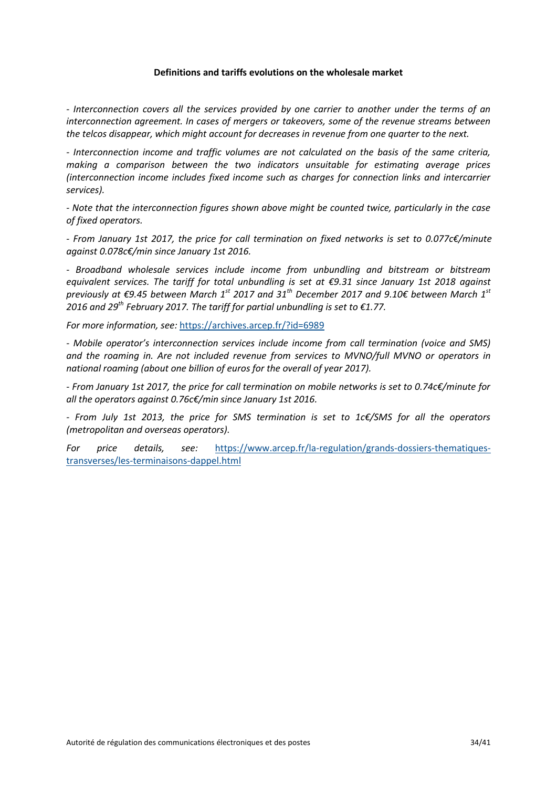#### **Definitions and tariffs evolutions on the wholesale market**

*- Interconnection covers all the services provided by one carrier to another under the terms of an interconnection agreement. In cases of mergers or takeovers, some of the revenue streams between the telcos disappear, which might account for decreases in revenue from one quarter to the next.*

*- Interconnection income and traffic volumes are not calculated on the basis of the same criteria, making a comparison between the two indicators unsuitable for estimating average prices (interconnection income includes fixed income such as charges for connection links and intercarrier services).*

*- Note that the interconnection figures shown above might be counted twice, particularly in the case of fixed operators.*

*- From January 1st 2017, the price for call termination on fixed networks is set to 0.077c€/minute against 0.078c€/min since January 1st 2016.*

*- Broadband wholesale services include income from unbundling and bitstream or bitstream equivalent services. The tariff for total unbundling is set at €9.31 since January 1st 2018 against previously at €9.45 between March 1st 2017 and 31th December 2017 and 9.10€ between March 1st 2016 and 29th February 2017. The tariff for partial unbundling is set to €1.77.*

*For more information, see:* <https://archives.arcep.fr/?id=6989>

*- Mobile operator's interconnection services include income from call termination (voice and SMS) and the roaming in. Are not included revenue from services to MVNO/full MVNO or operators in national roaming (about one billion of euros for the overall of year 2017).*

*- From January 1st 2017, the price for call termination on mobile networks is set to 0.74c€/minute for all the operators against 0.76c€/min since January 1st 2016.*

*- From July 1st 2013, the price for SMS termination is set to 1c€/SMS for all the operators (metropolitan and overseas operators).*

*For price details, see:* [https://www.arcep.fr/la-regulation/grands-dossiers-thematiques](https://www.arcep.fr/la-regulation/grands-dossiers-thematiques-transverses/les-terminaisons-dappel.html)[transverses/les-terminaisons-dappel.html](https://www.arcep.fr/la-regulation/grands-dossiers-thematiques-transverses/les-terminaisons-dappel.html)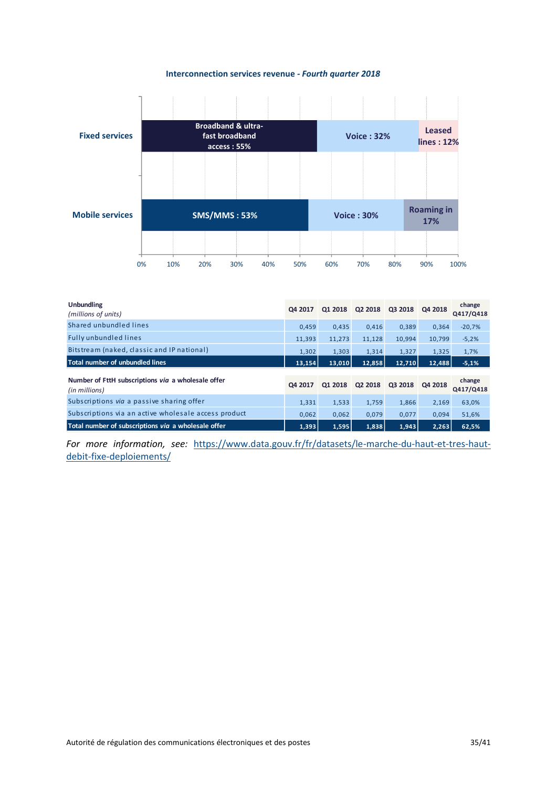#### **Interconnection services revenue** *- Fourth quarter 2018*



| <b>Unbundling</b><br>(millions of units)                            | Q4 2017 | Q1 2018 | Q2 2018 | Q3 2018 | Q4 2018 | change<br>Q417/Q418 |
|---------------------------------------------------------------------|---------|---------|---------|---------|---------|---------------------|
| Shared unbundled lines                                              | 0.459   | 0.435   | 0.416   | 0.389   | 0,364   | $-20,7%$            |
| <b>Fully unbundled lines</b>                                        | 11,393  | 11,273  | 11,128  | 10,994  | 10.799  | $-5,2%$             |
| Bitstream (naked, classic and IP national)                          | 1,302   | 1,303   | 1,314   | 1,327   | 1,325   | 1,7%                |
| Total number of unbundled lines                                     | 13,154  | 13,010  | 12,858  | 12.710  | 12,488  | $-5,1%$             |
| Number of FttH subscriptions via a wholesale offer<br>(in millions) | Q4 2017 | Q1 2018 | Q2 2018 | Q3 2018 | Q4 2018 | change<br>Q417/Q418 |
| Subscriptions via a passive sharing offer                           | 1,331   | 1,533   | 1,759   | 1,866   | 2,169   | 63,0%               |
| Subscriptions via an active wholesale access product                | 0.062   | 0,062   | 0,079   | 0.077   | 0,094   | 51,6%               |
|                                                                     |         |         |         |         |         |                     |

*For more information, see:* [https://www.data.gouv.fr/fr/datasets/le-marche-du-haut-et-tres-haut](https://www.data.gouv.fr/fr/datasets/le-marche-du-haut-et-tres-haut-debit-fixe-deploiements/)[debit-fixe-deploiements/](https://www.data.gouv.fr/fr/datasets/le-marche-du-haut-et-tres-haut-debit-fixe-deploiements/)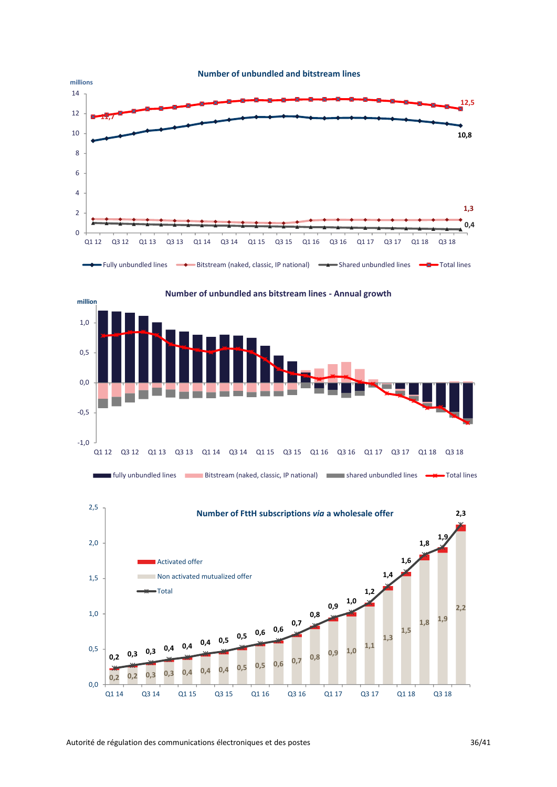





#### **Number of unbundled and bitstream lines**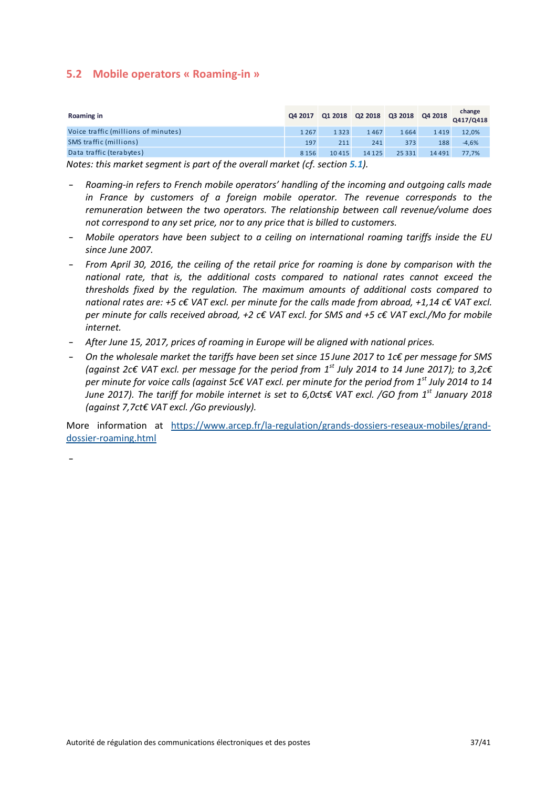### <span id="page-36-0"></span>**5.2 Mobile operators « Roaming-in »**

| Roaming in                          |         |       | Q4 2017 Q1 2018 Q2 2018 Q3 2018 Q4 2018 |          |       | $R$ change<br>Q417/Q418 |
|-------------------------------------|---------|-------|-----------------------------------------|----------|-------|-------------------------|
| Voice traffic (millions of minutes) | 1267    | 1323  | 1467                                    | 1664     | 1419  | 12,0%                   |
| SMS traffic (millions)              | 197     | 211   | 241                                     | 373      | 188   | $-4,6%$                 |
| Data traffic (terabytes)            | 8 1 5 6 | 10415 | 14 1 25                                 | 25 3 3 1 | 14491 | 77,7%                   |

*Notes: this market segment is part of the overall market (cf[. section](file://///collaboratif.intra.arcep.fr@SSL/DavWWWRoot/observatoire/Documents%20partages/Publication%20T1%202017.docx%23L’ensemble%20du%20marché) [5.1](file://///collaboratif.intra.arcep.fr@SSL/DavWWWRoot/observatoire/Documents%20partages/Publication%20T1%202017.docx%23L’ensemble%20du%20marché)).*

- *Roaming-in refers to French mobile operators' handling of the incoming and outgoing calls made*  in France by customers of a foreign mobile operator. The revenue corresponds to the *remuneration between the two operators. The relationship between call revenue/volume does not correspond to any set price, nor to any price that is billed to customers.*
- *Mobile operators have been subject to a ceiling on international roaming tariffs inside the EU since June 2007.*
- *From April 30, 2016, the ceiling of the retail price for roaming is done by comparison with the national rate, that is, the additional costs compared to national rates cannot exceed the thresholds fixed by the regulation. The maximum amounts of additional costs compared to national rates are: +5 c€ VAT excl. per minute for the calls made from abroad, +1,14 c€ VAT excl. per minute for calls received abroad, +2 c€ VAT excl. for SMS and +5 c€ VAT excl./Mo for mobile internet.*
- *After June 15, 2017, prices of roaming in Europe will be aligned with national prices.*
- *On the wholesale market the tariffs have been set since 15 June 2017 to 1c€ per message for SMS (against 2c€ VAT excl. per message for the period from 1st July 2014 to 14 June 2017); to 3,2c€ per minute for voice calls (against 5c€ VAT excl. per minute for the period from 1st July 2014 to 14 June 2017). The tariff for mobile internet is set to 6,0cts€ VAT excl. /GO from 1 st January 2018 (against 7,7ct€ VAT excl. /Go previously).*

More information at [https://www.arcep.fr/la-regulation/grands-dossiers-reseaux-mobiles/grand](https://www.arcep.fr/la-regulation/grands-dossiers-reseaux-mobiles/grand-dossier-roaming.html)[dossier-roaming.html](https://www.arcep.fr/la-regulation/grands-dossiers-reseaux-mobiles/grand-dossier-roaming.html)

-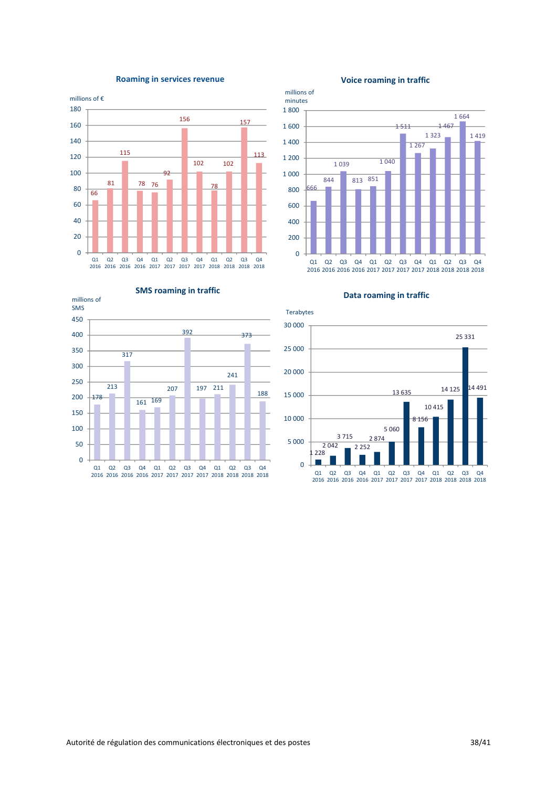

#### **Roaming in services revenue**



millions of

#### **Voice roaming in traffic**





**Data roaming in traffic**

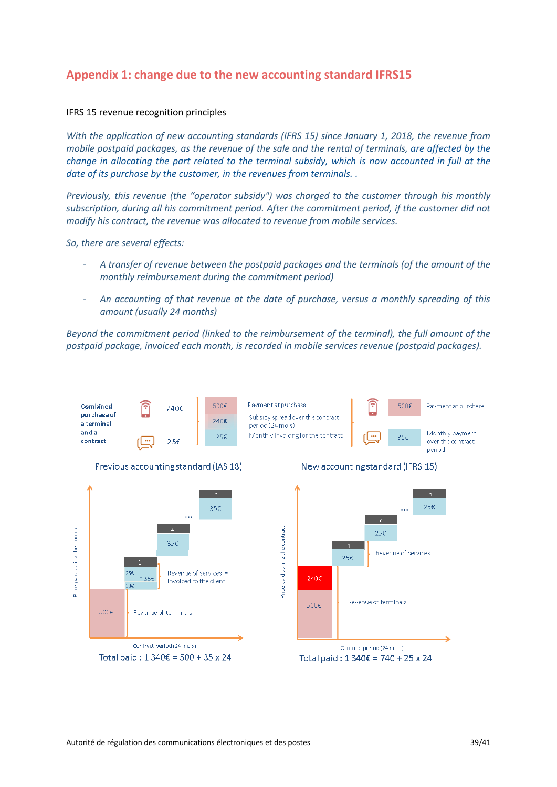# <span id="page-38-0"></span>**Appendix 1: change due to the new accounting standard IFRS15**

#### IFRS 15 revenue recognition principles

*With the application of new accounting standards (IFRS 15) since January 1, 2018, the revenue from mobile postpaid packages, as the revenue of the sale and the rental of terminals, are affected by the change in allocating the part related to the terminal subsidy, which is now accounted in full at the date of its purchase by the customer, in the revenues from terminals. .*

*Previously, this revenue (the "operator subsidy") was charged to the customer through his monthly subscription, during all his commitment period. After the commitment period, if the customer did not modify his contract, the revenue was allocated to revenue from mobile services.*

*So, there are several effects:* 

- *A transfer of revenue between the postpaid packages and the terminals (of the amount of the monthly reimbursement during the commitment period)*
- *An accounting of that revenue at the date of purchase, versus a monthly spreading of this amount (usually 24 months)*

*Beyond the commitment period (linked to the reimbursement of the terminal), the full amount of the postpaid package, invoiced each month, is recorded in mobile services revenue (postpaid packages).*

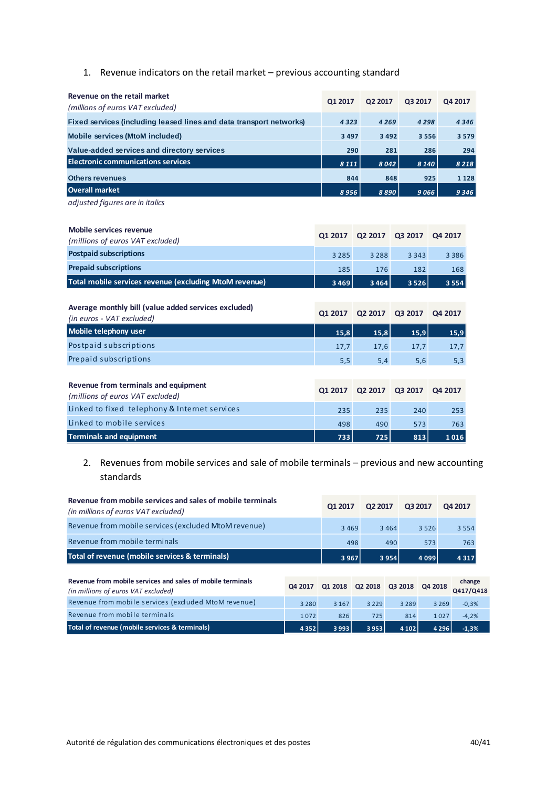# 1. Revenue indicators on the retail market – previous accounting standard

| Revenue on the retail market<br>(millions of euros VAT excluded)    | Q1 2017 | Q2 2017 | Q3 2017 | Q4 2017 |
|---------------------------------------------------------------------|---------|---------|---------|---------|
| Fixed services (including leased lines and data transport networks) | 4323    | 4 2 6 9 | 4 2 9 8 | 4346    |
| <b>Mobile services (MtoM included)</b>                              | 3 4 9 7 | 3 4 9 2 | 3 5 5 6 | 3 5 7 9 |
| Value-added services and directory services                         | 290     | 281     | 286     | 294     |
| <b>Electronic communications services</b>                           | 8 1 1 1 | 8042    | 8 1 4 0 | 8218    |
| <b>Others revenues</b>                                              | 844     | 848     | 925     | 1 1 2 8 |
| Overall market                                                      | 8956    | 8 8 9 0 | 9066    | 9346    |

*adjusted figures are in italics*

| Mobile services revenue<br>(millions of euros VAT excluded)                       | Q1 2017 | Q2 2017 | Q3 2017 | Q4 2017 |
|-----------------------------------------------------------------------------------|---------|---------|---------|---------|
| <b>Postpaid subscriptions</b>                                                     | 3 2 8 5 | 3 2 8 8 | 3 3 4 3 | 3 3 8 6 |
| <b>Prepaid subscriptions</b>                                                      | 185     | 176     | 182     | 168     |
| Total mobile services revenue (excluding MtoM revenue)                            | 3469    | 3464    | 3526    | 3 5 5 4 |
|                                                                                   |         |         |         |         |
| Average monthly bill (value added services excluded)<br>(in euros - VAT excluded) | Q1 2017 | Q2 2017 | Q3 2017 | Q4 2017 |
| Mobile telephony user                                                             | 15,8    | 15,8    | 15,9    | 15,9    |
| Postpaid subscriptions                                                            | 17,7    | 17,6    | 17,7    | 17,7    |
| Prepaid subscriptions                                                             | 5,5     | 5,4     | 5,6     | 5,3     |
|                                                                                   |         |         |         |         |
| Revenue from terminals and equipment<br>(millions of euros VAT excluded)          | Q1 2017 | Q2 2017 | Q3 2017 | Q4 2017 |
| Linked to fixed telephony & Internet services                                     | 235     | 235     | 240     | 253     |
| Linked to mobile services                                                         | 498     | 490     | 573     | 763     |
| <b>Terminals and equipment</b>                                                    | 733     | 725     | 813     | 1016    |

#### 2. Revenues from mobile services and sale of mobile terminals – previous and new accounting standards

| Revenue from mobile services and sales of mobile terminals<br>(in millions of euros VAT excluded) |         | Q1 2017 | Q2 2017 |         | Q3 2017 | Q4 2017             |
|---------------------------------------------------------------------------------------------------|---------|---------|---------|---------|---------|---------------------|
| Revenue from mobile services (excluded MtoM revenue)                                              |         | 3 4 6 9 |         | 3 4 6 4 | 3 5 2 6 | 3 5 5 4             |
| Revenue from mobile terminals                                                                     |         |         | 498     | 490     | 573     | 763                 |
| Total of revenue (mobile services & terminals)                                                    |         | 3 9 6 7 |         | 3 9 5 4 | 4 0 9 9 | 4317                |
|                                                                                                   |         |         |         |         |         |                     |
| Revenue from mobile services and sales of mobile terminals<br>(in millions of euros VAT excluded) | Q4 2017 | Q1 2018 | Q2 2018 | Q3 2018 | Q4 2018 | change<br>Q417/Q418 |
| Revenue from mobile services (excluded MtoM revenue)                                              | 3 2 8 0 | 3 1 6 7 | 3 2 2 9 | 3 2 8 9 | 3 2 6 9 | $-0,3%$             |
| Revenue from mobile terminals                                                                     | 1072    | 826     | 725     | 814     | 1027    | $-4,2%$             |
| Total of revenue (mobile services & terminals)                                                    | 4352    | 3993    | 3953    | 4 1 0 2 | 4 2 9 6 | $-1,3%$             |